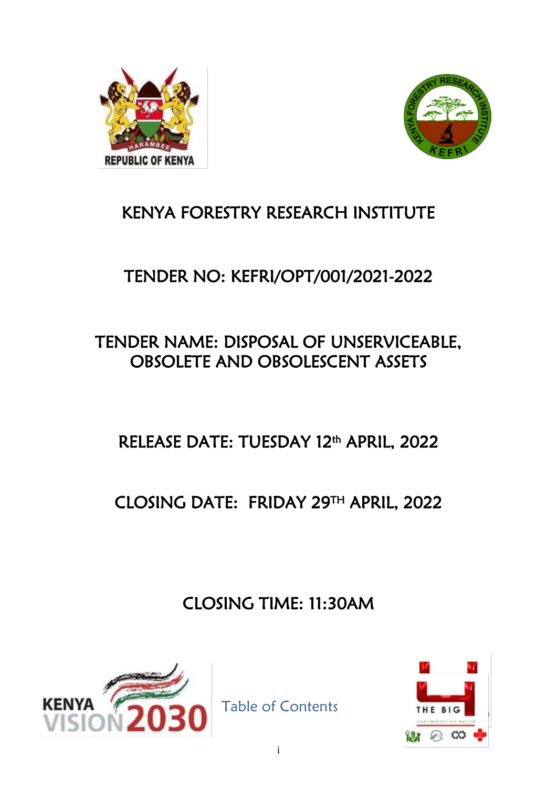



# KENYA FORESTRY RESEARCH INSTITUTE

# TENDER NO: KEFRI/OPT/001/2021-2022

# TENDER NAME: DISPOSAL OF UNSERVICEABLE, OBSOLETE AND OBSOLESCENT ASSETS

# RELEASE DATE: TUESDAY 12th APRIL, 2022

# CLOSING DATE: FRIDAY 29TH APRIL, 2022

CLOSING TIME: 11:30AM



Table of Contents

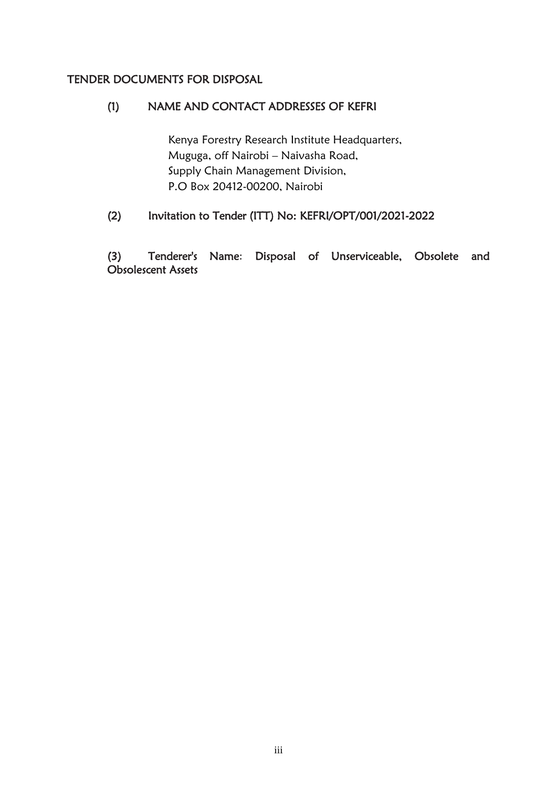## TENDER DOCUMENTS FOR DISPOSAL

## (1) NAME AND CONTACT ADDRESSES OF KEFRI

Kenya Forestry Research Institute Headquarters, Muguga, off Nairobi – Naivasha Road, Supply Chain Management Division, P.O Box 20412-00200, Nairobi

## (2) Invitation to Tender (ITT) No: KEFRI/OPT/001/2021-2022

<span id="page-2-0"></span>(3) Tenderer's Name: Disposal of Unserviceable, Obsolete and Obsolescent Assets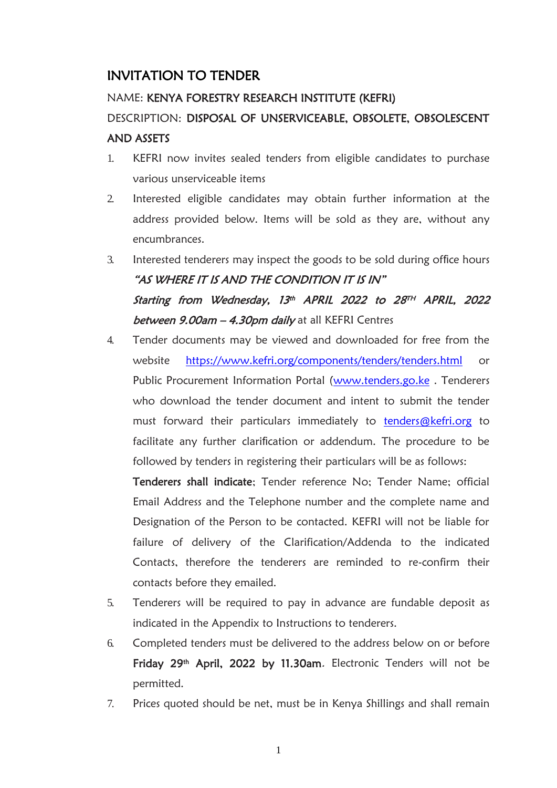# INVITATION TO TENDER

## NAME: KENYA FORESTRY RESEARCH INSTITUTE (KEFRI)

# DESCRIPTION: DISPOSAL OF UNSERVICEABLE, OBSOLETE, OBSOLESCENT AND ASSETS

- 1. KEFRI now invites sealed tenders from eligible candidates to purchase various unserviceable items
- 2. Interested eligible candidates may obtain further information at the address provided below. Items will be sold as they are, without any encumbrances.
- 3. Interested tenderers may inspect the goods to be sold during office hours "AS WHERE IT IS AND THE CONDITION IT IS IN" Starting from Wednesday, 13th APRIL 2022 to 28th APRIL, 2022 between 9.00am - 4.30pm daily at all KEFRI Centres
- 4. Tender documents may be viewed and downloaded for free from the website <https://www.kefri.org/components/tenders/tenders.html> or Public Procurement Information Portal [\(www.tenders.go.ke](http://www.tenders.go.ke/). Tenderers who download the tender document and intent to submit the tender must forward their particulars immediately to [tenders@kefri.org](mailto:tenders@kefri.org) to facilitate any further clarification or addendum. The procedure to be followed by tenders in registering their particulars will be as follows:

Tenderers shall indicate; Tender reference No; Tender Name; official Email Address and the Telephone number and the complete name and Designation of the Person to be contacted. KEFRI will not be liable for failure of delivery of the Clarification/Addenda to the indicated Contacts, therefore the tenderers are reminded to re-confirm their contacts before they emailed.

- 5. Tenderers will be required to pay in advance are fundable deposit as indicated in the Appendix to Instructions to tenderers.
- 6. Completed tenders must be delivered to the address below on or before Friday 29<sup>th</sup> April, 2022 by 11.30am. Electronic Tenders will not be permitted.
- 7. Prices quoted should be net, must be in Kenya Shillings and shall remain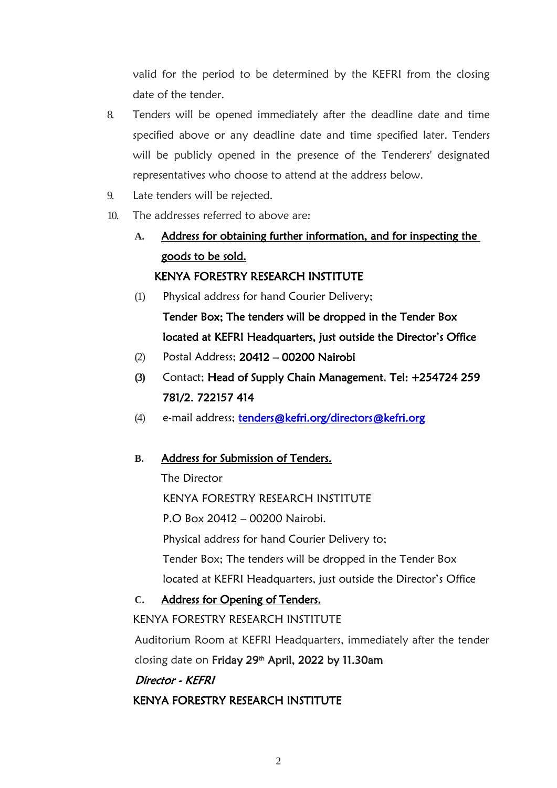valid for the period to be determined by the KEFRI from the closing date of the tender.

- 8. Tenders will be opened immediately after the deadline date and time specified above or any deadline date and time specified later. Tenders will be publicly opened in the presence of the Tenderers' designated representatives who choose to attend at the address below.
- 9. Late tenders will be rejected.
- 10. The addresses referred to above are:
	- **A.** Address for obtaining further information, and for inspecting the goods to be sold. KENYA FORESTRY RESEARCH INSTITUTE
	- (1) Physical address for hand Courier Delivery;

Tender Box; The tenders will be dropped in the Tender Box located at KEFRI Headquarters, just outside the Director's Office

- (2) Postal Address; 20412 00200 Nairobi
- **(3)** Contact; Head of Supply Chain Management, Tel: +254724 259 781/2. 722157 414
- (4) e-mail address; tenders@kefri.org/directors@kefri.org

### **B.** Address for Submission of Tenders.

The Director

KENYA FORESTRY RESEARCH INSTITUTE

P.O Box 20412 – 00200 Nairobi.

Physical address for hand Courier Delivery to;

Tender Box; The tenders will be dropped in the Tender Box

located at KEFRI Headquarters, just outside the Director's Office

### **C.** Address for Opening of Tenders.

KENYA FORESTRY RESEARCH INSTITUTE

Auditorium Room at KEFRI Headquarters, immediately after the tender closing date on Friday 29<sup>th</sup> April, 2022 by 11.30am

### <span id="page-5-0"></span>Director - KEFRI

### KENYA FORESTRY RESEARCH INSTITUTE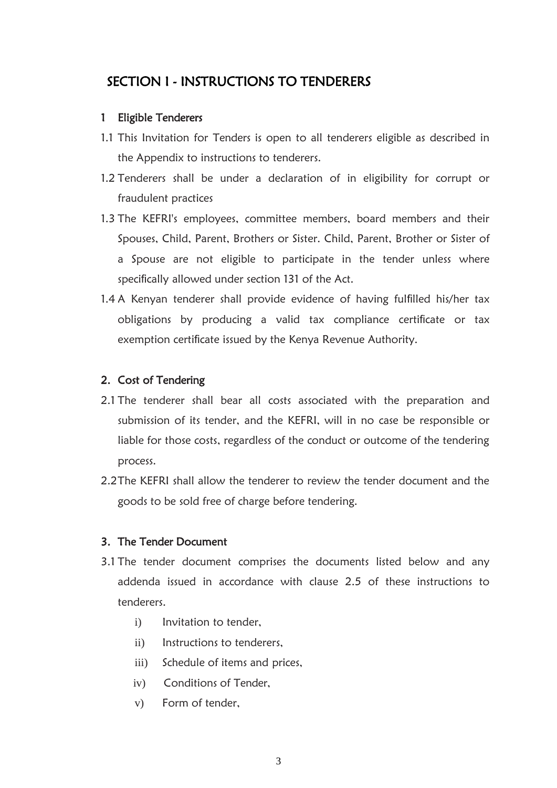# SECTION I - INSTRUCTIONS TO TENDERERS

### 1 Eligible Tenderers

- 1.1 This Invitation for Tenders is open to all tenderers eligible as described in the Appendix to instructions to tenderers.
- 1.2 Tenderers shall be under a declaration of in eligibility for corrupt or fraudulent practices
- 1.3 The KEFRI's employees, committee members, board members and their Spouses, Child, Parent, Brothers or Sister. Child, Parent, Brother or Sister of a Spouse are not eligible to participate in the tender unless where specifically allowed under section 131 of the Act.
- 1.4 A Kenyan tenderer shall provide evidence of having fulfilled his/her tax obligations by producing a valid tax compliance certificate or tax exemption certificate issued by the Kenya Revenue Authority.

### 2. Cost of Tendering

- 2.1 The tenderer shall bear all costs associated with the preparation and submission of its tender, and the KEFRI, will in no case be responsible or liable for those costs, regardless of the conduct or outcome of the tendering process.
- 2.2The KEFRI shall allow the tenderer to review the tender document and the goods to be sold free of charge before tendering.

#### 3. The Tender Document

- 3.1 The tender document comprises the documents listed below and any addenda issued in accordance with clause 2.5 of these instructions to tenderers.
	- i) Invitation to tender,
	- ii) Instructions to tenderers,
	- iii) Schedule of items and prices,
	- iv) Conditions of Tender,
	- v) Form of tender,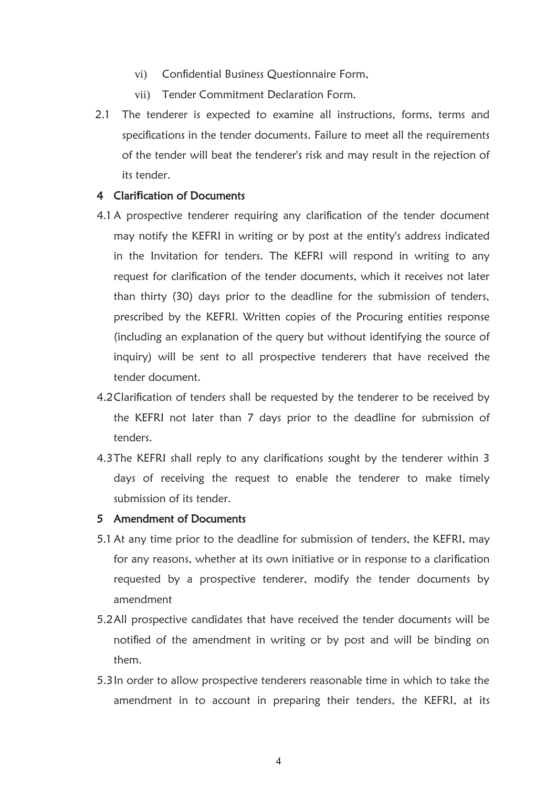- vi) Confidential Business Questionnaire Form,
- vii) Tender Commitment Declaration Form.
- 2.1 The tenderer is expected to examine all instructions, forms, terms and specifications in the tender documents. Failure to meet all the requirements of the tender will beat the tenderer's risk and may result in the rejection of its tender.

#### 4 Clari**fi**cation of Documents

- 4.1 A prospective tenderer requiring any clarification of the tender document may notify the KEFRI in writing or by post at the entity's address indicated in the Invitation for tenders. The KEFRI will respond in writing to any request for clarification of the tender documents, which it receives not later than thirty (30) days prior to the deadline for the submission of tenders, prescribed by the KEFRI. Written copies of the Procuring entities response (including an explanation of the query but without identifying the source of inquiry) will be sent to all prospective tenderers that have received the tender document.
- 4.2Clarification of tenders shall be requested by the tenderer to be received by the KEFRI not later than 7 days prior to the deadline for submission of tenders.
- 4.3The KEFRI shall reply to any clarifications sought by the tenderer within 3 days of receiving the request to enable the tenderer to make timely submission of its tender.

#### 5 Amendment of Documents

- 5.1 At any time prior to the deadline for submission of tenders, the KEFRI, may for any reasons, whether at its own initiative or in response to a clarification requested by a prospective tenderer, modify the tender documents by amendment
- 5.2All prospective candidates that have received the tender documents will be notified of the amendment in writing or by post and will be binding on them.
- 5.3In order to allow prospective tenderers reasonable time in which to take the amendment in to account in preparing their tenders, the KEFRI, at its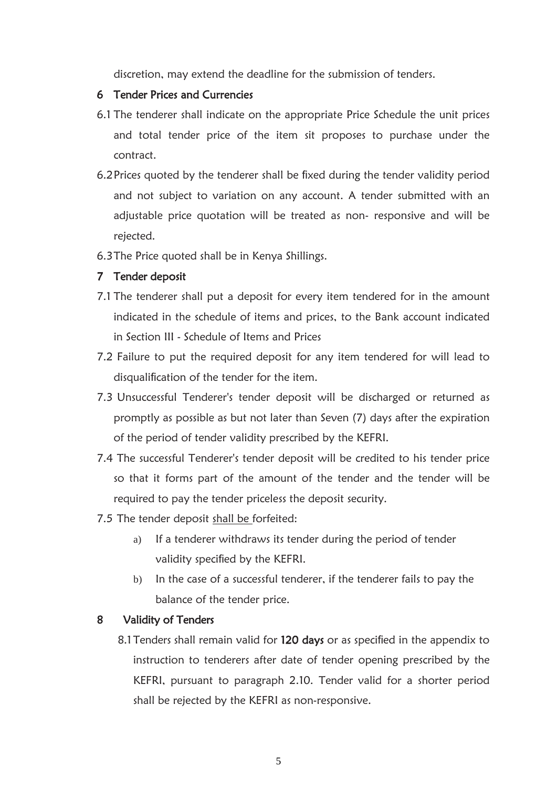discretion, may extend the deadline for the submission of tenders.

#### 6 Tender Prices and Currencies

- 6.1 The tenderer shall indicate on the appropriate Price Schedule the unit prices and total tender price of the item sit proposes to purchase under the contract.
- 6.2Prices quoted by the tenderer shall be fixed during the tender validity period and not subject to variation on any account. A tender submitted with an adjustable price quotation will be treated as non- responsive and will be rejected.
- 6.3The Price quoted shall be in Kenya Shillings.

### 7 Tender deposit

- 7.1 The tenderer shall put a deposit for every item tendered for in the amount indicated in the schedule of items and prices, to the Bank account indicated in Section III - Schedule of Items and Prices
- 7.2 Failure to put the required deposit for any item tendered for will lead to disqualification of the tender for the item.
- 7.3 Unsuccessful Tenderer's tender deposit will be discharged or returned as promptly as possible as but not later than Seven (7) days after the expiration of the period of tender validity prescribed by the KEFRI.
- 7.4 The successful Tenderer's tender deposit will be credited to his tender price so that it forms part of the amount of the tender and the tender will be required to pay the tender priceless the deposit security.
- 7.5 The tender deposit shall be forfeited:
	- a) If a tenderer withdraws its tender during the period of tender validity specified by the KEFRI.
	- b) In the case of a successful tenderer, if the tenderer fails to pay the balance of the tender price.

### 8 Validity of Tenders

8.1 Tenders shall remain valid for 120 days or as specified in the appendix to instruction to tenderers after date of tender opening prescribed by the KEFRI, pursuant to paragraph 2.10. Tender valid for a shorter period shall be rejected by the KEFRI as non-responsive.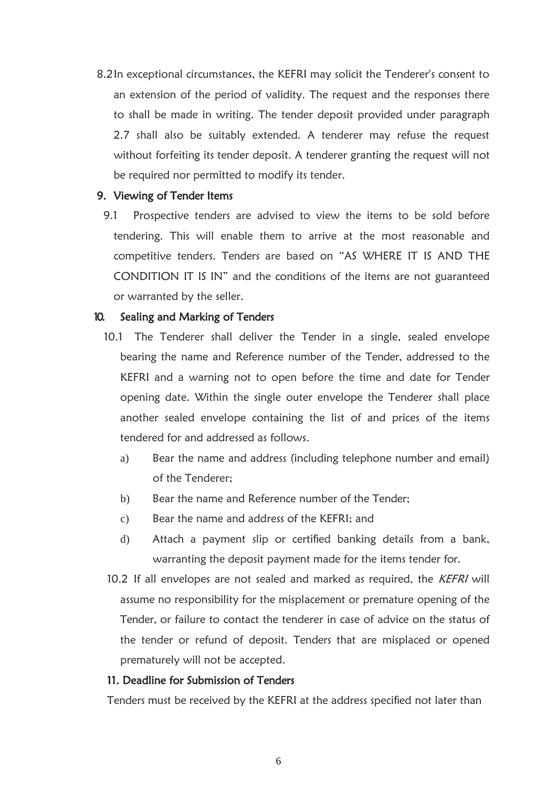8.2In exceptional circumstances, the KEFRI may solicit the Tenderer's consent to an extension of the period of validity. The request and the responses there to shall be made in writing. The tender deposit provided under paragraph 2.7 shall also be suitably extended. A tenderer may refuse the request without forfeiting its tender deposit. A tenderer granting the request will not be required nor permitted to modify its tender.

#### 9. Viewing of Tender Items

 9.1 Prospective tenders are advised to view the items to be sold before tendering. This will enable them to arrive at the most reasonable and competitive tenders. Tenders are based on "AS WHERE IT IS AND THE CONDITION IT IS IN" and the conditions of the items are not guaranteed or warranted by the seller.

#### 10. Sealing and Marking of Tenders

- 10.1 The Tenderer shall deliver the Tender in a single, sealed envelope bearing the name and Reference number of the Tender, addressed to the KEFRI and a warning not to open before the time and date for Tender opening date. Within the single outer envelope the Tenderer shall place another sealed envelope containing the list of and prices of the items tendered for and addressed as follows.
	- a) Bear the name and address (including telephone number and email) of the Tenderer;
	- b) Bear the name and Reference number of the Tender;
	- c) Bear the name and address of the KEFRI; and
	- d) Attach a payment slip or certified banking details from a bank, warranting the deposit payment made for the items tender for.
- 10.2 If all envelopes are not sealed and marked as required, the KEFRI will assume no responsibility for the misplacement or premature opening of the Tender, or failure to contact the tenderer in case of advice on the status of the tender or refund of deposit. Tenders that are misplaced or opened prematurely will not be accepted.

#### 11. Deadline for Submission of Tenders

Tenders must be received by the KEFRI at the address specified not later than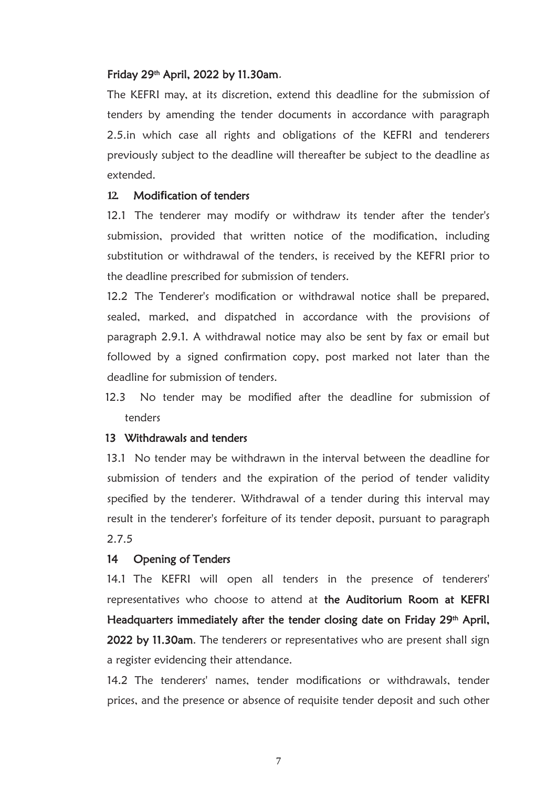#### Friday 29th April, 2022 by 11.30am.

The KEFRI may, at its discretion, extend this deadline for the submission of tenders by amending the tender documents in accordance with paragraph 2.5.in which case all rights and obligations of the KEFRI and tenderers previously subject to the deadline will thereafter be subject to the deadline as extended.

#### **12.** Modi**fi**cation of tenders

12.1 The tenderer may modify or withdraw its tender after the tender's submission, provided that written notice of the modification, including substitution or withdrawal of the tenders, is received by the KEFRI prior to the deadline prescribed for submission of tenders.

12.2 The Tenderer's modification or withdrawal notice shall be prepared, sealed, marked, and dispatched in accordance with the provisions of paragraph 2.9.1. A withdrawal notice may also be sent by fax or email but followed by a signed confirmation copy, post marked not later than the deadline for submission of tenders.

12.3 No tender may be modified after the deadline for submission of tenders

#### 13 Withdrawals and tenders

 13.1 No tender may be withdrawn in the interval between the deadline for submission of tenders and the expiration of the period of tender validity specified by the tenderer. Withdrawal of a tender during this interval may result in the tenderer's forfeiture of its tender deposit, pursuant to paragraph 2.7.5

#### 14 Opening of Tenders

14.1 The KEFRI will open all tenders in the presence of tenderers' representatives who choose to attend at the Auditorium Room at KEFRI Headquarters immediately after the tender closing date on Friday 29<sup>th</sup> April, 2022 by 11.30am. The tenderers or representatives who are present shall sign a register evidencing their attendance.

14.2 The tenderers' names, tender modifications or withdrawals, tender prices, and the presence or absence of requisite tender deposit and such other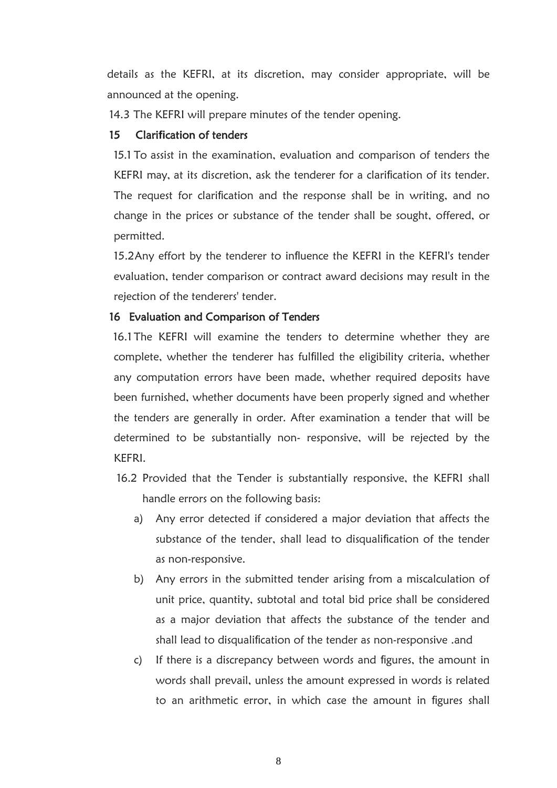details as the KEFRI, at its discretion, may consider appropriate, will be announced at the opening.

14.3 The KEFRI will prepare minutes of the tender opening.

#### 15 Clari**fi**cation of tenders

15.1 To assist in the examination, evaluation and comparison of tenders the KEFRI may, at its discretion, ask the tenderer for a clarification of its tender. The request for clarification and the response shall be in writing, and no change in the prices or substance of the tender shall be sought, offered, or permitted.

15.2Any effort by the tenderer to influence the KEFRI in the KEFRI's tender evaluation, tender comparison or contract award decisions may result in the rejection of the tenderers' tender.

#### 16 Evaluation and Comparison of Tenders

 16.1 The KEFRI will examine the tenders to determine whether they are complete, whether the tenderer has fulfilled the eligibility criteria, whether any computation errors have been made, whether required deposits have been furnished, whether documents have been properly signed and whether the tenders are generally in order. After examination a tender that will be determined to be substantially non- responsive, will be rejected by the KEFRI.

- 16.2 Provided that the Tender is substantially responsive, the KEFRI shall handle errors on the following basis:
	- a) Any error detected if considered a major deviation that affects the substance of the tender, shall lead to disqualification of the tender as non-responsive.
	- b) Any errors in the submitted tender arising from a miscalculation of unit price, quantity, subtotal and total bid price shall be considered as a major deviation that affects the substance of the tender and shall lead to disqualification of the tender as non-responsive .and
	- c) If there is a discrepancy between words and figures, the amount in words shall prevail, unless the amount expressed in words is related to an arithmetic error, in which case the amount in figures shall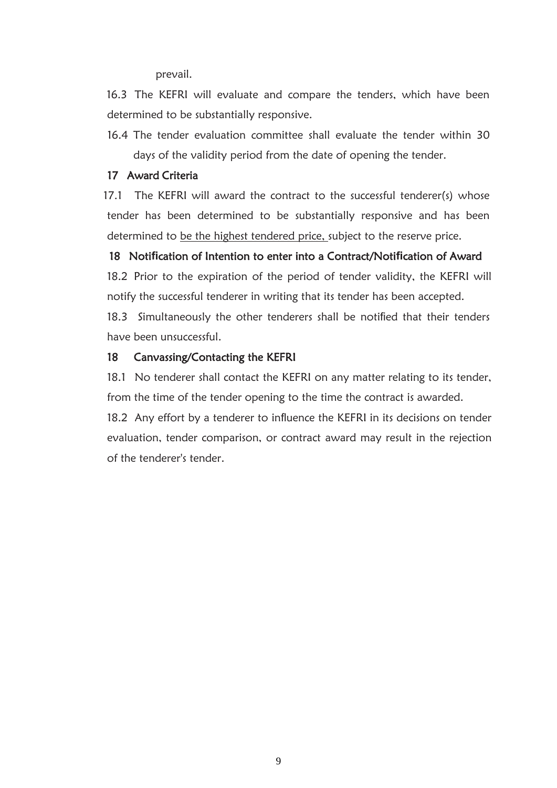prevail.

 16.3 The KEFRI will evaluate and compare the tenders, which have been determined to be substantially responsive.

16.4 The tender evaluation committee shall evaluate the tender within 30 days of the validity period from the date of opening the tender.

#### 17 Award Criteria

 17.1 The KEFRI will award the contract to the successful tenderer(s) whose tender has been determined to be substantially responsive and has been determined to be the highest tendered price, subject to the reserve price.

#### 18 Noti**fi**cation of Intention to enter into a Contract/Noti**fi**cation of Award

18.2 Prior to the expiration of the period of tender validity, the KEFRI will notify the successful tenderer in writing that its tender has been accepted.

18.3 Simultaneously the other tenderers shall be notified that their tenders have been unsuccessful.

#### 18 Canvassing/Contacting the KEFRI

18.1 No tenderer shall contact the KEFRI on any matter relating to its tender, from the time of the tender opening to the time the contract is awarded.

18.2 Any effort by a tenderer to influence the KEFRI in its decisions on tender evaluation, tender comparison, or contract award may result in the rejection of the tenderer's tender.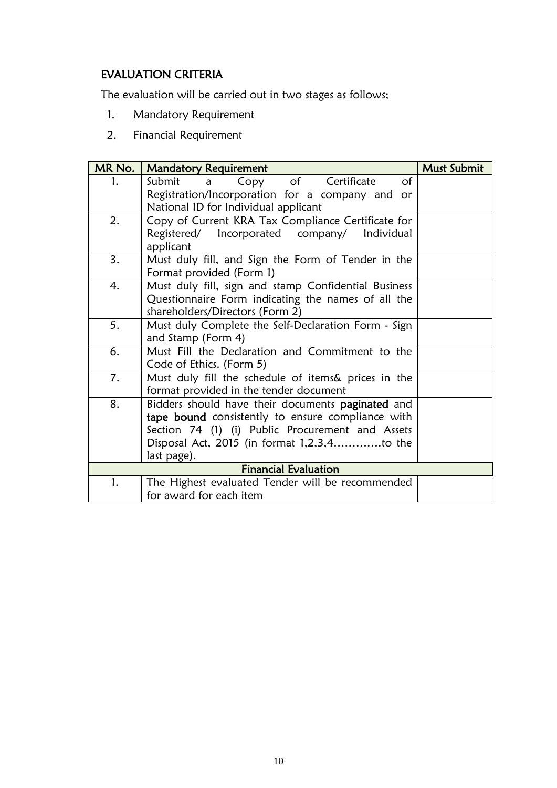# EVALUATION CRITERIA

The evaluation will be carried out in two stages as follows;

- 1. Mandatory Requirement
- 2. Financial Requirement

| MR No. | <b>Mandatory Requirement</b>                         | Must Submit |
|--------|------------------------------------------------------|-------------|
| 1.     | of Certificate<br>Submit<br>Copy<br>$\circ$ f<br>a   |             |
|        | Registration/Incorporation for a company and or      |             |
|        | National ID for Individual applicant                 |             |
| 2.     | Copy of Current KRA Tax Compliance Certificate for   |             |
|        | Registered/ Incorporated company/ Individual         |             |
|        | applicant                                            |             |
| 3.     | Must duly fill, and Sign the Form of Tender in the   |             |
|        | Format provided (Form 1)                             |             |
| 4.     | Must duly fill, sign and stamp Confidential Business |             |
|        | Questionnaire Form indicating the names of all the   |             |
|        | shareholders/Directors (Form 2)                      |             |
| 5.     | Must duly Complete the Self-Declaration Form - Sign  |             |
|        | and Stamp (Form 4)                                   |             |
| 6.     | Must Fill the Declaration and Commitment to the      |             |
|        | Code of Ethics. (Form 5)                             |             |
| 7.     | Must duly fill the schedule of items& prices in the  |             |
|        | format provided in the tender document               |             |
| 8.     | Bidders should have their documents paginated and    |             |
|        | tape bound consistently to ensure compliance with    |             |
|        | Section 74 (1) (i) Public Procurement and Assets     |             |
|        | Disposal Act, 2015 (in format 1,2,3,4to the          |             |
|        | last page).                                          |             |
|        | <b>Financial Evaluation</b>                          |             |
| 1.     | The Highest evaluated Tender will be recommended     |             |
|        | for award for each item                              |             |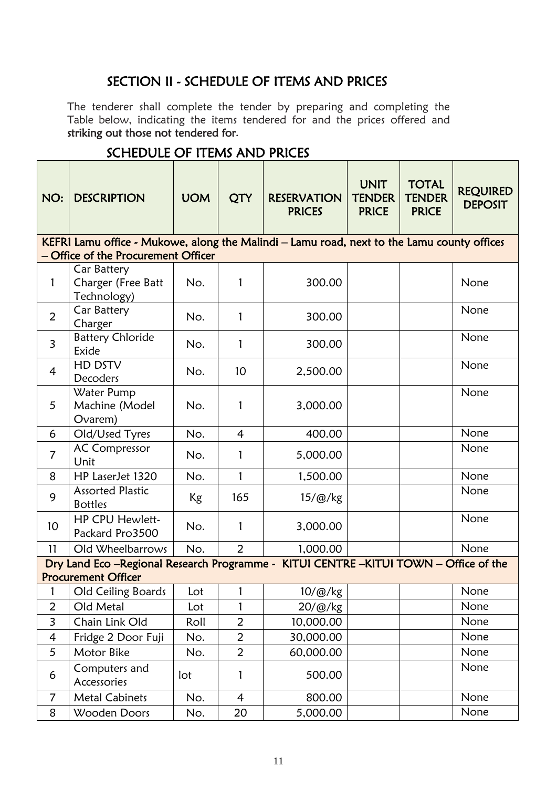# SECTION II - SCHEDULE OF ITEMS AND PRICES

<span id="page-14-0"></span>The tenderer shall complete the tender by preparing and completing the Table below, indicating the items tendered for and the prices offered and striking out those not tendered for.

| NO:             | <b>DESCRIPTION</b>                                                                         | <b>UOM</b> | <b>QTY</b>     | <b>RESERVATION</b><br><b>PRICES</b> | <b>UNIT</b><br><b>TENDER</b><br><b>PRICE</b> | <b>TOTAL</b><br><b>TENDER</b><br><b>PRICE</b> | <b>REQUIRED</b><br><b>DEPOSIT</b> |
|-----------------|--------------------------------------------------------------------------------------------|------------|----------------|-------------------------------------|----------------------------------------------|-----------------------------------------------|-----------------------------------|
|                 | KEFRI Lamu office - Mukowe, along the Malindi - Lamu road, next to the Lamu county offices |            |                |                                     |                                              |                                               |                                   |
|                 | - Office of the Procurement Officer                                                        |            |                |                                     |                                              |                                               |                                   |
| 1               | Car Battery<br>Charger (Free Batt<br>Technology)                                           | No.        | 1              | 300.00                              |                                              |                                               | None                              |
| 2               | Car Battery<br>Charger                                                                     | No.        | $\mathbf{1}$   | 300.00                              |                                              |                                               | None                              |
| $\overline{3}$  | <b>Battery Chloride</b><br>Exide                                                           | No.        | 1              | 300.00                              |                                              |                                               | None                              |
| 4               | HD DSTV<br>Decoders                                                                        | No.        | 10             | 2,500.00                            |                                              |                                               | None                              |
| 5               | Water Pump<br>Machine (Model<br>Ovarem)                                                    | No.        | 1              | 3,000.00                            |                                              |                                               | None                              |
| 6               | Old/Used Tyres                                                                             | No.        | $\overline{4}$ | 400.00                              |                                              |                                               | None                              |
| $\overline{7}$  | <b>AC Compressor</b><br>Unit                                                               | No.        | $\mathbf{1}$   | 5,000.00                            |                                              |                                               | None                              |
| 8               | HP LaserJet 1320                                                                           | No.        | $\mathbf{1}$   | 1,500.00                            |                                              |                                               | None                              |
| 9               | <b>Assorted Plastic</b><br><b>Bottles</b>                                                  | <b>Kg</b>  | 165            | $15/\omega$ /kg                     |                                              |                                               | None                              |
| 10 <sup>1</sup> | HP CPU Hewlett-<br>Packard Pro3500                                                         | No.        | $\mathbf{1}$   | 3,000.00                            |                                              |                                               | None                              |
| 11              | Old Wheelbarrows                                                                           | No.        | $\overline{2}$ | 1,000.00                            |                                              |                                               | None                              |
|                 | Dry Land Eco-Regional Research Programme - KITUI CENTRE-KITUI TOWN - Office of the         |            |                |                                     |                                              |                                               |                                   |
|                 | <b>Procurement Officer</b>                                                                 |            |                |                                     |                                              |                                               |                                   |
| 1               | Old Ceiling Boards                                                                         | Lot        | 1              | 10/@/kg                             |                                              |                                               | None                              |
| $\overline{2}$  | Old Metal                                                                                  | Lot        |                | 20/@/kg                             |                                              |                                               | None                              |
| 3               | Chain Link Old                                                                             | Roll       | $\overline{2}$ | 10,000.00                           |                                              |                                               | None                              |
| $\overline{4}$  | Fridge 2 Door Fuji                                                                         | No.        | $\overline{2}$ | 30,000.00                           |                                              |                                               | None                              |
| 5               | Motor Bike                                                                                 | No.        | $\overline{2}$ | 60,000.00                           |                                              |                                               | None                              |
| 6               | Computers and<br>Accessories                                                               | lot        | 1              | 500.00                              |                                              |                                               | None                              |
| $\overline{7}$  | <b>Metal Cabinets</b>                                                                      | No.        | $\overline{4}$ | 800.00                              |                                              |                                               | None                              |
| 8               | Wooden Doors                                                                               | No.        | 20             | 5,000.00                            |                                              |                                               | None                              |

# SCHEDULE OF ITEMS AND PRICES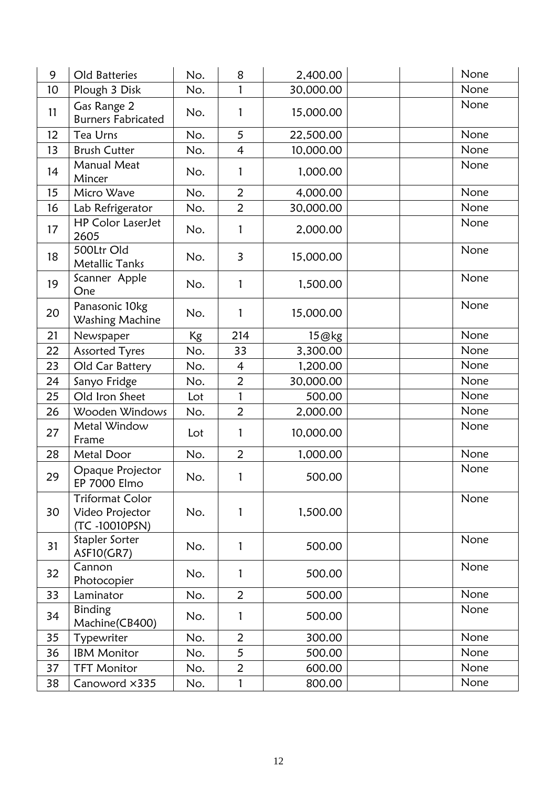| 9  | Old Batteries                                              | No. | 8              | 2,400.00  | None |
|----|------------------------------------------------------------|-----|----------------|-----------|------|
| 10 | Plough 3 Disk                                              | No. | 1              | 30,000.00 | None |
| 11 | Gas Range 2<br><b>Burners Fabricated</b>                   | No. | 1              | 15,000.00 | None |
| 12 | Tea Urns                                                   | No. | 5              | 22,500.00 | None |
| 13 | <b>Brush Cutter</b>                                        | No. | $\overline{4}$ | 10,000.00 | None |
| 14 | <b>Manual Meat</b><br>Mincer                               | No. | 1              | 1,000.00  | None |
| 15 | Micro Wave                                                 | No. | $\overline{2}$ | 4,000.00  | None |
| 16 | Lab Refrigerator                                           | No. | $\overline{2}$ | 30,000.00 | None |
| 17 | <b>HP Color LaserJet</b><br>2605                           | No. | 1              | 2,000.00  | None |
| 18 | 500Ltr Old<br><b>Metallic Tanks</b>                        | No. | $\overline{3}$ | 15,000.00 | None |
| 19 | Scanner Apple<br>One                                       | No. | 1              | 1,500.00  | None |
| 20 | Panasonic 10kg<br>Washing Machine                          | No. | 1              | 15,000.00 | None |
| 21 | Newspaper                                                  | Kg  | 214            | 15@kg     | None |
| 22 | Assorted Tyres                                             | No. | 33             | 3,300.00  | None |
| 23 | Old Car Battery                                            | No. | $\overline{4}$ | 1,200.00  | None |
| 24 | Sanyo Fridge                                               | No. | $\overline{2}$ | 30,000.00 | None |
| 25 | Old Iron Sheet                                             | Lot | $\mathbf{1}$   | 500.00    | None |
| 26 | Wooden Windows                                             | No. | $\overline{2}$ | 2,000.00  | None |
| 27 | Metal Window<br>Frame                                      | Lot | 1              | 10,000.00 | None |
| 28 | Metal Door                                                 | No. | $\overline{2}$ | 1,000.00  | None |
| 29 | Opaque Projector<br><b>EP 7000 Elmo</b>                    | No. | 1              | 500.00    | None |
| 30 | <b>Triformat Color</b><br>Video Projector<br>(TC-10010PSN) | No. | 1              | 1,500.00  | None |
| 31 | Stapler Sorter<br><b>ASF10(GR7)</b>                        | No. | 1              | 500.00    | None |
| 32 | Cannon<br>Photocopier                                      | No. | 1              | 500.00    | None |
| 33 | Laminator                                                  | No. | $\overline{2}$ | 500.00    | None |
| 34 | <b>Binding</b><br>Machine(CB400)                           | No. | 1              | 500.00    | None |
| 35 | Typewriter                                                 | No. | $\overline{2}$ | 300.00    | None |
| 36 | <b>IBM Monitor</b>                                         | No. | 5              | 500.00    | None |
| 37 | <b>TFT Monitor</b>                                         | No. | $\overline{2}$ | 600.00    | None |
| 38 | Canoword ×335                                              | No. | 1              | 800.00    | None |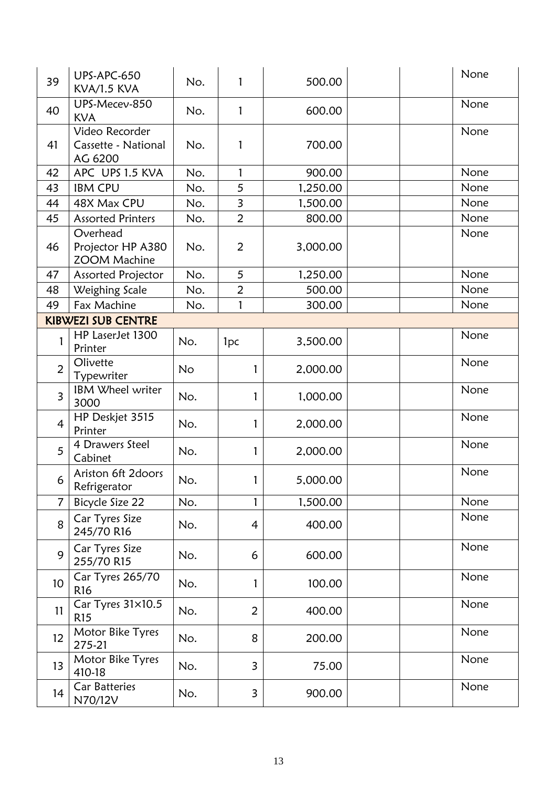| 39              | <b>UPS-APC-650</b><br><b>KVA/1.5 KVA</b>             | No.       | 1                       | 500.00   | None |
|-----------------|------------------------------------------------------|-----------|-------------------------|----------|------|
| 40              | UPS-Mecev-850<br><b>KVA</b>                          | No.       | $\mathbf{1}$            | 600.00   | None |
| 41              | Video Recorder<br>Cassette - National<br>AG 6200     | No.       | 1                       | 700.00   | None |
| 42              | APC UPS 1.5 KVA                                      | No.       | $\mathbf{1}$            | 900.00   | None |
| 43              | <b>IBM CPU</b>                                       | No.       | 5                       | 1,250.00 | None |
| 44              | 48X Max CPU                                          | No.       | $\overline{\mathbf{3}}$ | 1,500.00 | None |
| 45              | <b>Assorted Printers</b>                             | No.       | $\overline{2}$          | 800.00   | None |
| 46              | Overhead<br>Projector HP A380<br><b>ZOOM Machine</b> | No.       | $\overline{2}$          | 3,000.00 | None |
| 47              | Assorted Projector                                   | No.       | 5                       | 1,250.00 | None |
| 48              | Weighing Scale                                       | No.       | $\overline{2}$          | 500.00   | None |
| 49              | Fax Machine                                          | No.       | 1                       | 300.00   | None |
|                 | <b>KIBWEZI SUB CENTRE</b>                            |           |                         |          |      |
|                 | HP LaserJet 1300<br>Printer                          | No.       | 1 <sub>pc</sub>         | 3,500.00 | None |
| $\overline{2}$  | Olivette<br>Typewriter                               | <b>No</b> | 1                       | 2,000.00 | None |
| $\overline{3}$  | IBM Wheel writer<br>3000                             | No.       | 1                       | 1,000.00 | None |
| $\overline{4}$  | HP Deskjet 3515<br>Printer                           | No.       | 1                       | 2,000.00 | None |
| 5               | 4 Drawers Steel<br>Cabinet                           | No.       | 1                       | 2,000.00 | None |
| 6               | Ariston 6ft 2doors<br>Refrigerator                   | No.       | 1                       | 5,000.00 | None |
| $\overline{7}$  | Bicycle Size 22                                      | No.       | $\mathbf{1}$            | 1,500.00 | None |
| 8               | Car Tyres Size<br>245/70 R16                         | No.       | 4                       | 400.00   | None |
| 9               | Car Tyres Size<br>255/70 R15                         | No.       | 6                       | 600.00   | None |
| 10 <sup>°</sup> | Car Tyres 265/70<br>R <sub>16</sub>                  | No.       | 1                       | 100.00   | None |
| 11              | Car Tyres 31×10.5<br>R <sub>15</sub>                 | No.       | $\overline{2}$          | 400.00   | None |
| 12              | Motor Bike Tyres<br>275-21                           | No.       | 8                       | 200.00   | None |
| 13              | Motor Bike Tyres<br>410-18                           | No.       | 3                       | 75.00    | None |
| 14              | <b>Car Batteries</b><br>N70/12V                      | No.       | 3                       | 900.00   | None |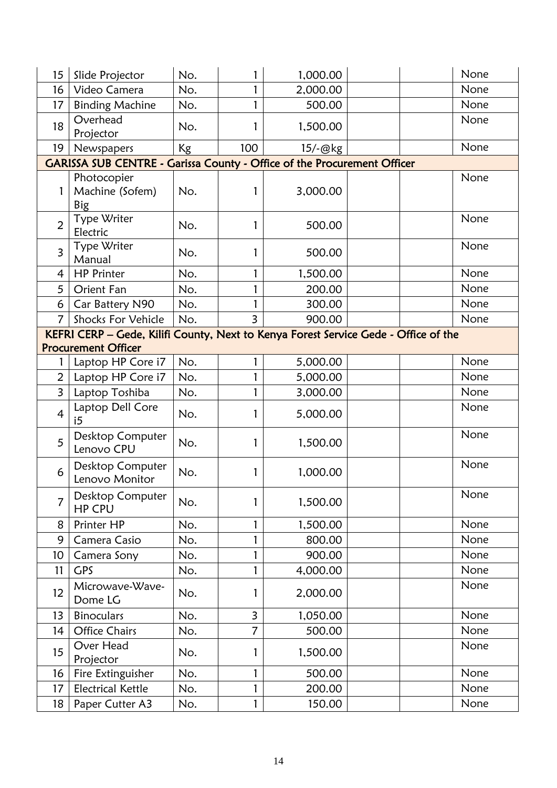| 15              | Slide Projector                                                         | No.       |                | 1,000.00 | None                                                                                |
|-----------------|-------------------------------------------------------------------------|-----------|----------------|----------|-------------------------------------------------------------------------------------|
| 16              | Video Camera                                                            | No.       |                | 2,000.00 | None                                                                                |
| 17              | <b>Binding Machine</b>                                                  | No.       | 1              | 500.00   | None                                                                                |
| 18              | Overhead<br>Projector                                                   | No.       | 1              | 1,500.00 | None                                                                                |
| 19              | Newspapers                                                              | <b>Kg</b> | 100            | 15/-@kg  | None                                                                                |
|                 | GARISSA SUB CENTRE - Garissa County - Office of the Procurement Officer |           |                |          |                                                                                     |
|                 | Photocopier<br>Machine (Sofem)<br>Big                                   | No.       | 1              | 3,000.00 | None                                                                                |
| $\overline{2}$  | Type Writer<br>Electric                                                 | No.       | 1              | 500.00   | None                                                                                |
| $\overline{3}$  | Type Writer<br>Manual                                                   | No.       | 1              | 500.00   | None                                                                                |
| $\overline{4}$  | <b>HP Printer</b>                                                       | No.       | 1              | 1,500.00 | None                                                                                |
| 5               | Orient Fan                                                              | No.       | 1              | 200.00   | None                                                                                |
| 6               | Car Battery N90                                                         | No.       |                | 300.00   | None                                                                                |
| $\overline{7}$  | <b>Shocks For Vehicle</b>                                               | No.       | $\overline{3}$ | 900.00   | None                                                                                |
|                 |                                                                         |           |                |          | KEFRI CERP - Gede, Kilifi County, Next to Kenya Forest Service Gede - Office of the |
|                 | <b>Procurement Officer</b>                                              |           |                |          |                                                                                     |
|                 | Laptop HP Core i7                                                       | No.       | 1              | 5,000.00 | None                                                                                |
| $\overline{2}$  | Laptop HP Core i7                                                       | No.       | 1              | 5,000.00 | None                                                                                |
| $\overline{3}$  | Laptop Toshiba                                                          | No.       | 1              | 3,000.00 | None                                                                                |
| $\overline{4}$  | Laptop Dell Core<br>i5                                                  | No.       | 1              | 5,000.00 | None                                                                                |
| 5               | Desktop Computer<br>Lenovo CPU                                          | No.       | 1              | 1,500.00 | None                                                                                |
| 6               | Desktop Computer<br>Lenovo Monitor                                      | No.       | 1              | 1,000.00 | None                                                                                |
| 7               | Desktop Computer<br><b>HP CPU</b>                                       | No.       |                | 1,500.00 | None                                                                                |
| 8               | Printer HP                                                              | No.       | 1              | 1,500.00 | None                                                                                |
| 9               | Camera Casio                                                            | No.       | 1              | 800.00   | None                                                                                |
| 10 <sup>°</sup> | Camera Sony                                                             | No.       | 1              | 900.00   | None                                                                                |
| 11              | <b>GPS</b>                                                              | No.       | 1              | 4,000.00 | None                                                                                |
| 12              | Microwave-Wave-<br>Dome LG                                              | No.       | 1              | 2,000.00 | None                                                                                |
| 13              | <b>Binoculars</b>                                                       | No.       | $\overline{3}$ | 1,050.00 | None                                                                                |
| 14              | <b>Office Chairs</b>                                                    | No.       | $\overline{7}$ | 500.00   | None                                                                                |
| 15              | Over Head<br>Projector                                                  | No.       |                | 1,500.00 | None                                                                                |
| 16              | Fire Extinguisher                                                       | No.       | 1              | 500.00   | None                                                                                |
| 17              | <b>Electrical Kettle</b>                                                | No.       | 1              | 200.00   | None                                                                                |
| 18              | Paper Cutter A3                                                         | No.       | 1              | 150.00   | None                                                                                |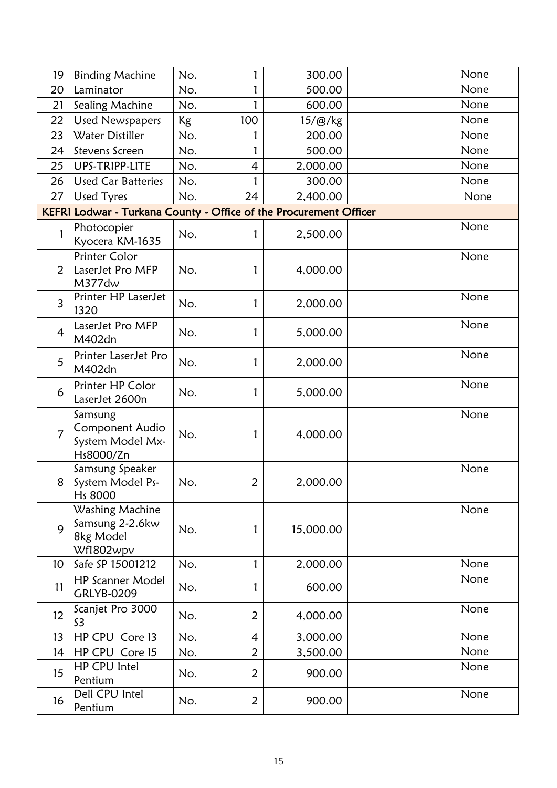| 19              | <b>Binding Machine</b>                                            | No. |                | 300.00          | None |
|-----------------|-------------------------------------------------------------------|-----|----------------|-----------------|------|
| 20              | Laminator                                                         | No. |                | 500.00          | None |
| 21              | Sealing Machine                                                   | No. | $\mathbf{1}$   | 600.00          | None |
| 22              | <b>Used Newspapers</b>                                            | Kg  | 100            | $15/\omega$ /kg | None |
| 23              | Water Distiller                                                   | No. |                | 200.00          | None |
| 24              | Stevens Screen                                                    | No. | 1              | 500.00          | None |
| 25              | UPS-TRIPP-LITE                                                    | No. | 4              | 2,000.00        | None |
| 26              | <b>Used Car Batteries</b>                                         | No. | 1              | 300.00          | None |
| 27              | <b>Used Tyres</b>                                                 | No. | 24             | 2,400.00        | None |
|                 | KEFRI Lodwar - Turkana County - Office of the Procurement Officer |     |                |                 |      |
| 1               | Photocopier<br>Kyocera KM-1635                                    | No. | 1              | 2,500.00        | None |
| 2               | <b>Printer Color</b><br>LaserJet Pro MFP<br>M377dw                | No. | 1              | 4,000.00        | None |
| $\overline{3}$  | Printer HP LaserJet<br>1320                                       | No. | 1              | 2,000.00        | None |
| $\overline{4}$  | LaserJet Pro MFP<br>M402dn                                        | No. | 1              | 5,000.00        | None |
| 5               | Printer LaserJet Pro<br>M402dn                                    | No. |                | 2,000.00        | None |
| 6               | Printer HP Color<br>LaserJet 2600n                                | No. | 1              | 5,000.00        | None |
| $\overline{7}$  | Samsung<br>Component Audio<br>System Model Mx-<br>Hs8000/Zn       | No. | 1              | 4,000.00        | None |
| 8               | Samsung Speaker<br>System Model Ps-<br>Hs 8000                    | No. | $\overline{2}$ | 2,000.00        | None |
| 9               | Washing Machine<br>Samsung 2-2.6kw<br>8kg Model<br>Wf1802wpv      | No. | 1              | 15,000.00       | None |
| 10 <sup>°</sup> | Safe SP 15001212                                                  | No. | 1              | 2,000.00        | None |
| 11              | <b>HP Scanner Model</b><br><b>GRLYB-0209</b>                      | No. | 1              | 600.00          | None |
| 12              | Scanjet Pro 3000<br>S3                                            | No. | 2              | 4,000.00        | None |
| 13              | HP CPU Core 13                                                    | No. | $\overline{4}$ | 3,000.00        | None |
| 14              | HP CPU Core 15                                                    | No. | $\overline{2}$ | 3,500.00        | None |
| 15              | HP CPU Intel<br>Pentium                                           | No. | $\overline{2}$ | 900.00          | None |
| 16              | Dell CPU Intel<br>Pentium                                         | No. | $\overline{2}$ | 900.00          | None |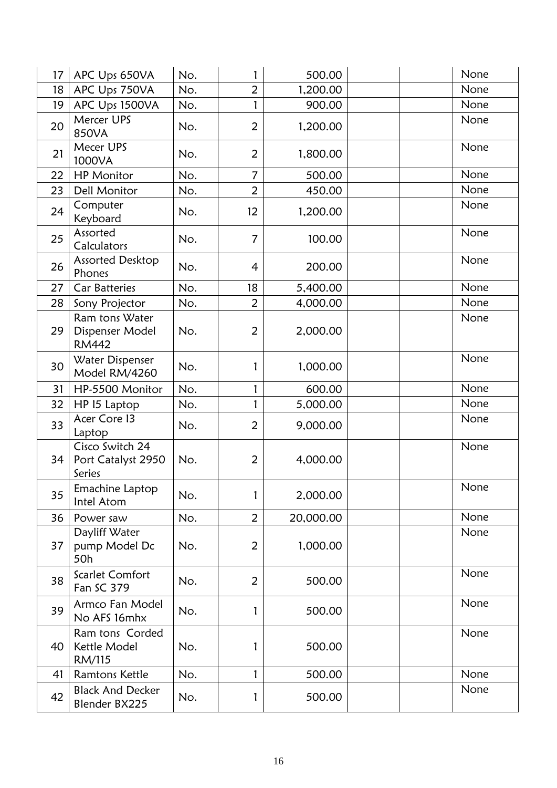| 17 | APC Ups 650VA                                     | No. | 1              | 500.00    | None |
|----|---------------------------------------------------|-----|----------------|-----------|------|
| 18 | APC Ups 750VA                                     | No. | $\overline{2}$ | 1,200.00  | None |
| 19 | APC Ups 1500VA                                    | No. | 1              | 900.00    | None |
| 20 | Mercer UPS<br>850VA                               | No. | 2              | 1,200.00  | None |
| 21 | Mecer UPS<br>1000VA                               | No. | 2              | 1,800.00  | None |
| 22 | <b>HP</b> Monitor                                 | No. | $\overline{7}$ | 500.00    | None |
| 23 | <b>Dell Monitor</b>                               | No. | $\overline{2}$ | 450.00    | None |
| 24 | Computer<br>Keyboard                              | No. | 12             | 1,200.00  | None |
| 25 | Assorted<br>Calculators                           | No. | $\overline{7}$ | 100.00    | None |
| 26 | Assorted Desktop<br>Phones                        | No. | 4              | 200.00    | None |
| 27 | <b>Car Batteries</b>                              | No. | 18             | 5,400.00  | None |
| 28 | Sony Projector                                    | No. | $\overline{2}$ | 4,000.00  | None |
| 29 | Ram tons Water<br>Dispenser Model<br><b>RM442</b> | No. | $\overline{2}$ | 2,000.00  | None |
| 30 | Water Dispenser<br>Model RM/4260                  | No. | 1              | 1,000.00  | None |
| 31 | HP-5500 Monitor                                   | No. | 1              | 600.00    | None |
| 32 | HP 15 Laptop                                      | No. | 1              | 5,000.00  | None |
| 33 | Acer Core 13<br>Laptop                            | No. | $\overline{2}$ | 9,000.00  | None |
| 34 | Cisco Switch 24<br>Port Catalyst 2950<br>Series   | No. | 2              | 4,000.00  | None |
| 35 | Emachine Laptop<br>Intel Atom                     | No. | 1              | 2,000.00  | None |
| 36 | Power saw                                         | No. | $\overline{2}$ | 20,000.00 | None |
| 37 | Dayliff Water<br>pump Model Dc<br>50h             | No. | $\overline{2}$ | 1,000.00  | None |
| 38 | Scarlet Comfort<br>Fan SC 379                     | No. | $\overline{2}$ | 500.00    | None |
| 39 | Armco Fan Model<br>No AFS 16mhx                   | No. | 1              | 500.00    | None |
| 40 | Ram tons Corded<br>Kettle Model<br>RM/115         | No. | 1              | 500.00    | None |
| 41 | Ramtons Kettle                                    | No. | 1              | 500.00    | None |
| 42 | <b>Black And Decker</b><br>Blender BX225          | No. | 1              | 500.00    | None |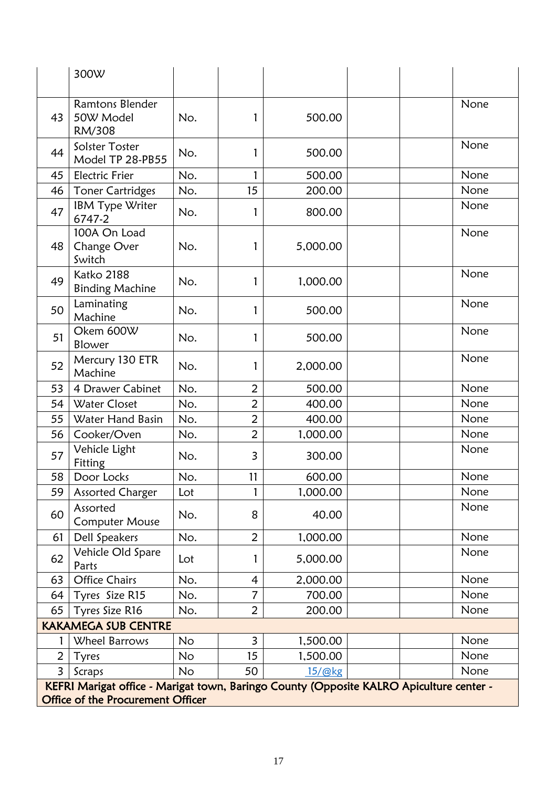|                                                                                                                              | 300W                                          |           |                         |                |      |  |  |
|------------------------------------------------------------------------------------------------------------------------------|-----------------------------------------------|-----------|-------------------------|----------------|------|--|--|
| 43                                                                                                                           | <b>Ramtons Blender</b><br>50W Model<br>RM/308 | No.       | 1                       | 500.00         | None |  |  |
| 44                                                                                                                           | Solster Toster<br>Model TP 28-PB55            | No.       | 1                       | 500.00         | None |  |  |
| 45                                                                                                                           | <b>Electric Frier</b>                         | No.       | 1                       | 500.00         | None |  |  |
| 46                                                                                                                           | <b>Toner Cartridges</b>                       | No.       | 15                      | 200.00         | None |  |  |
| 47                                                                                                                           | IBM Type Writer<br>6747-2                     | No.       | 1                       | 800.00         | None |  |  |
| 48                                                                                                                           | 100A On Load<br>Change Over<br>Switch         | No.       | 1                       | 5,000.00       | None |  |  |
| 49                                                                                                                           | Katko 2188<br><b>Binding Machine</b>          | No.       | 1                       | 1,000.00       | None |  |  |
| 50                                                                                                                           | Laminating<br>Machine                         | No.       | 1                       | 500.00         | None |  |  |
| 51                                                                                                                           | Okem 600W<br>Blower                           | No.       | 1                       | 500.00         | None |  |  |
| 52                                                                                                                           | Mercury 130 ETR<br>Machine                    | No.       | 1                       | 2,000.00       | None |  |  |
| 53                                                                                                                           | 4 Drawer Cabinet                              | No.       | $\overline{2}$          | 500.00         | None |  |  |
| 54                                                                                                                           | <b>Water Closet</b>                           | No.       | $\overline{2}$          | 400.00         | None |  |  |
| 55                                                                                                                           | Water Hand Basin                              | No.       | $\overline{2}$          | 400.00         | None |  |  |
| 56                                                                                                                           | Cooker/Oven                                   | No.       | $\overline{2}$          | 1,000.00       | None |  |  |
| 57                                                                                                                           | Vehicle Light<br>Fitting                      | No.       | $\overline{\mathbf{3}}$ | 300.00         | None |  |  |
| 58                                                                                                                           | Door Locks                                    | No.       | 11                      | 600.00         | None |  |  |
| 59                                                                                                                           | <b>Assorted Charger</b>                       | Lot       |                         | 1,000.00       | None |  |  |
| 60                                                                                                                           | Assorted<br><b>Computer Mouse</b>             | No.       | 8                       | 40.00          | None |  |  |
| 61                                                                                                                           | Dell Speakers                                 | No.       | $\overline{2}$          | 1,000.00       | None |  |  |
| 62                                                                                                                           | Vehicle Old Spare<br>Parts                    | Lot       | 1                       | 5,000.00       | None |  |  |
| 63                                                                                                                           | <b>Office Chairs</b>                          | No.       | $\overline{4}$          | 2,000.00       | None |  |  |
| 64                                                                                                                           | Tyres Size R15                                | No.       | $\overline{7}$          | 700.00         | None |  |  |
| 65                                                                                                                           | Tyres Size R16                                | No.       | $\overline{2}$          | 200.00         | None |  |  |
|                                                                                                                              | <b>KAKAMEGA SUB CENTRE</b>                    |           |                         |                |      |  |  |
|                                                                                                                              | Wheel Barrows                                 | <b>No</b> | 3                       | 1,500.00       | None |  |  |
| $\overline{2}$                                                                                                               | Tyres                                         | No        | 15                      | 1,500.00       | None |  |  |
| 3                                                                                                                            | Scraps                                        | <b>No</b> | 50                      | $15/\omega$ kg | None |  |  |
| KEFRI Marigat office - Marigat town, Baringo County (Opposite KALRO Apiculture center -<br>Office of the Procurement Officer |                                               |           |                         |                |      |  |  |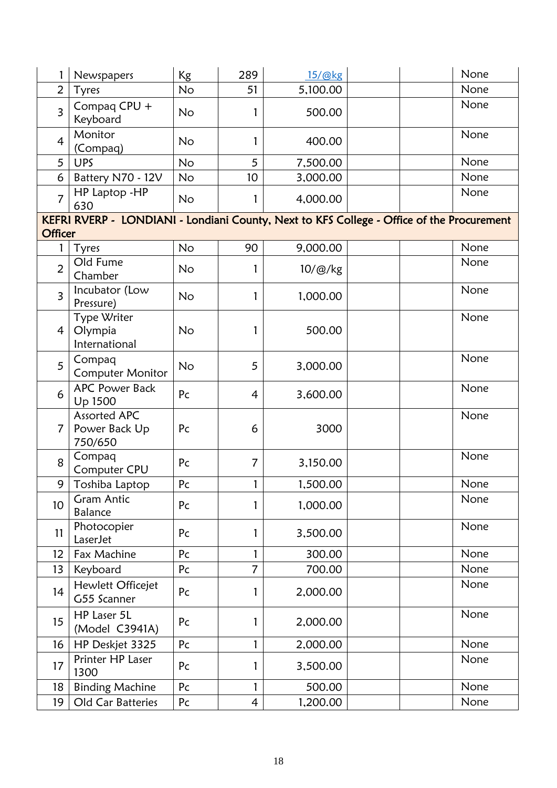|                 | Newspapers                               | Kg             | 289            | 15/@kg   | None                                                                                      |
|-----------------|------------------------------------------|----------------|----------------|----------|-------------------------------------------------------------------------------------------|
| $\overline{2}$  | Tyres                                    | <b>No</b>      | 51             | 5,100.00 | None                                                                                      |
| $\overline{3}$  | Compaq CPU +<br>Keyboard                 | <b>No</b>      |                | 500.00   | None                                                                                      |
| $\overline{4}$  | Monitor<br>(Compaq)                      | No             | 1              | 400.00   | None                                                                                      |
| 5               | <b>UPS</b>                               | No             | 5              | 7,500.00 | None                                                                                      |
| 6               | Battery N70 - 12V                        | No             | 10             | 3,000.00 | None                                                                                      |
| $\overline{7}$  | HP Laptop - HP<br>630                    | No             |                | 4,000.00 | None                                                                                      |
| <b>Officer</b>  |                                          |                |                |          | KEFRI RVERP - LONDIANI - Londiani County, Next to KFS College - Office of the Procurement |
| 1               | Tyres                                    | No             | 90             | 9,000.00 | None                                                                                      |
| $\overline{2}$  | Old Fume<br>Chamber                      | N <sub>o</sub> | 1              | 10/@/kg  | None                                                                                      |
| $\overline{3}$  | Incubator (Low<br>Pressure)              | N <sub>o</sub> | 1              | 1,000.00 | None                                                                                      |
| $\overline{4}$  | Type Writer<br>Olympia<br>International  | <b>No</b>      | 1              | 500.00   | None                                                                                      |
| 5               | Compaq<br><b>Computer Monitor</b>        | No             | 5              | 3,000.00 | None                                                                                      |
| 6               | <b>APC Power Back</b><br>Up 1500         | Pc             | 4              | 3,600.00 | None                                                                                      |
| $\overline{7}$  | Assorted APC<br>Power Back Up<br>750/650 | Pc             | 6              | 3000     | None                                                                                      |
| 8               | Compaq<br>Computer CPU                   | Pc             | $\overline{7}$ | 3,150.00 | None                                                                                      |
| 9               | Toshiba Laptop                           | Pc             |                | 1,500.00 | None                                                                                      |
| 10 <sup>°</sup> | Gram Antic<br><b>Balance</b>             | Pc             |                | 1,000.00 | None                                                                                      |
| 11              | Photocopier<br>LaserJet                  | Pc             | 1              | 3,500.00 | None                                                                                      |
| 12              | Fax Machine                              | Pc             | 1              | 300.00   | None                                                                                      |
| 13              | Keyboard                                 | Pc             | 7              | 700.00   | None                                                                                      |
| 14              | Hewlett Officejet<br>G55 Scanner         | Pc             | 1              | 2,000.00 | None                                                                                      |
| 15              | HP Laser 5L<br>(Model C3941A)            | Pc             | 1              | 2,000.00 | None                                                                                      |
| 16              | HP Deskjet 3325                          | Pc             | 1              | 2,000.00 | None                                                                                      |
| 17              | Printer HP Laser<br>1300                 | Pc             | 1              | 3,500.00 | None                                                                                      |
| 18              | <b>Binding Machine</b>                   | Pc             | 1              | 500.00   | None                                                                                      |
| 19              | Old Car Batteries                        | P <sub>C</sub> | $\overline{4}$ | 1,200.00 | None                                                                                      |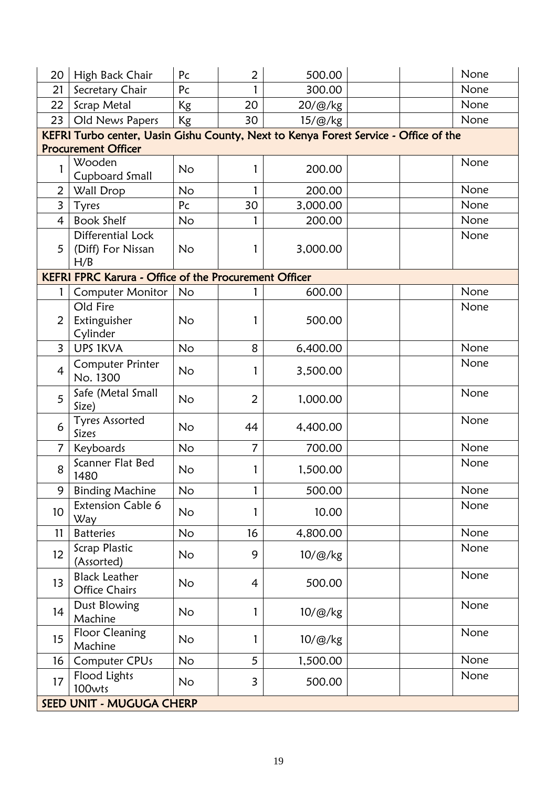| 20              | High Back Chair                                                                                                    | Pc        | 2              | 500.00   | None |  |  |  |  |  |
|-----------------|--------------------------------------------------------------------------------------------------------------------|-----------|----------------|----------|------|--|--|--|--|--|
| 21              | Secretary Chair                                                                                                    | Pc        |                | 300.00   | None |  |  |  |  |  |
| 22              | Scrap Metal                                                                                                        | Kg        | 20             | 20/@/kg  | None |  |  |  |  |  |
| 23              | Old News Papers                                                                                                    | Kg        | 30             | 15/@/kg  | None |  |  |  |  |  |
|                 | KEFRI Turbo center, Uasin Gishu County, Next to Kenya Forest Service - Office of the<br><b>Procurement Officer</b> |           |                |          |      |  |  |  |  |  |
|                 | Wooden<br>Cupboard Small                                                                                           | No        |                | 200.00   | None |  |  |  |  |  |
| $\overline{2}$  | Wall Drop                                                                                                          | <b>No</b> |                | 200.00   | None |  |  |  |  |  |
| $\overline{3}$  | Tyres                                                                                                              | Pc        | 30             | 3,000.00 | None |  |  |  |  |  |
| $\overline{4}$  | <b>Book Shelf</b>                                                                                                  | <b>No</b> | 1              | 200.00   | None |  |  |  |  |  |
| $5^{\circ}$     | Differential Lock<br>(Diff) For Nissan<br>H/B                                                                      | <b>No</b> | 1              | 3,000.00 | None |  |  |  |  |  |
|                 | <b>KEFRI FPRC Karura - Office of the Procurement Officer</b>                                                       |           |                |          |      |  |  |  |  |  |
|                 | <b>Computer Monitor</b>                                                                                            | No        |                | 600.00   | None |  |  |  |  |  |
| $\overline{2}$  | Old Fire<br>Extinguisher<br>Cylinder                                                                               | <b>No</b> |                | 500.00   | None |  |  |  |  |  |
| $\overline{3}$  | <b>UPS 1KVA</b>                                                                                                    | <b>No</b> | 8              | 6,400.00 | None |  |  |  |  |  |
| $\overline{4}$  | <b>Computer Printer</b><br>No. 1300                                                                                | No        | 1              | 3,500.00 | None |  |  |  |  |  |
| 5               | Safe (Metal Small<br>Size)                                                                                         | <b>No</b> | 2              | 1,000.00 | None |  |  |  |  |  |
| 6               | <b>Tyres Assorted</b><br>Sizes                                                                                     | No        | 44             | 4,400.00 | None |  |  |  |  |  |
| $\overline{7}$  | Keyboards                                                                                                          | <b>No</b> | $\overline{7}$ | 700.00   | None |  |  |  |  |  |
| 8               | Scanner Flat Bed<br>1480                                                                                           | No        | 1              | 1,500.00 | None |  |  |  |  |  |
| 9               | <b>Binding Machine</b>                                                                                             | <b>No</b> | 1              | 500.00   | None |  |  |  |  |  |
| 10 <sup>°</sup> | <b>Extension Cable 6</b><br>Way                                                                                    | <b>No</b> | 1              | 10.00    | None |  |  |  |  |  |
| 11              | <b>Batteries</b>                                                                                                   | <b>No</b> | 16             | 4,800.00 | None |  |  |  |  |  |
| 12              | Scrap Plastic<br>(Assorted)                                                                                        | <b>No</b> | 9              | 10/@/kg  | None |  |  |  |  |  |
| 13              | <b>Black Leather</b><br><b>Office Chairs</b>                                                                       | No        | 4              | 500.00   | None |  |  |  |  |  |
| 14              | Dust Blowing<br>Machine                                                                                            | No        | 1              | 10/@/kg  | None |  |  |  |  |  |
| 15              | <b>Floor Cleaning</b><br>Machine                                                                                   | No        | 1              | 10/@/kg  | None |  |  |  |  |  |
| 16              | Computer CPUs                                                                                                      | No        | 5              | 1,500.00 | None |  |  |  |  |  |
| 17              | Flood Lights<br>100wts                                                                                             | <b>No</b> | 3              | 500.00   | None |  |  |  |  |  |
|                 | SEED UNIT - MUGUGA CHERP                                                                                           |           |                |          |      |  |  |  |  |  |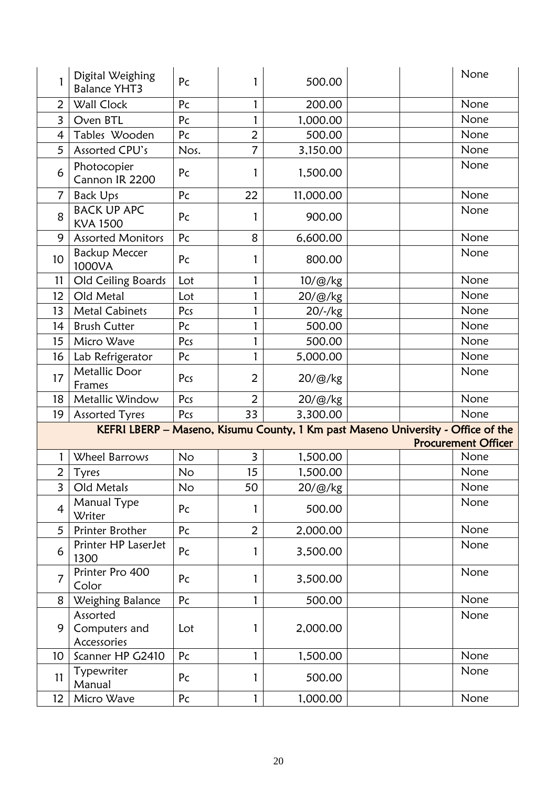| 1               | Digital Weighing<br><b>Balance YHT3</b>  | Pc   | 1              | 500.00          | None                                                                                                           |
|-----------------|------------------------------------------|------|----------------|-----------------|----------------------------------------------------------------------------------------------------------------|
| $\overline{2}$  | Wall Clock                               | Pc   | 1              | 200.00          | None                                                                                                           |
| $\overline{3}$  | Oven BTL                                 | Pc   | 1              | 1,000.00        | None                                                                                                           |
| $\overline{4}$  | Tables Wooden                            | Pc   | $\overline{2}$ | 500.00          | None                                                                                                           |
| 5               | Assorted CPU's                           | Nos. | 7              | 3,150.00        | None                                                                                                           |
| 6               | Photocopier<br>Cannon IR 2200            | Pc   | 1              | 1,500.00        | None                                                                                                           |
| $\overline{7}$  | <b>Back Ups</b>                          | Pc   | 22             | 11,000.00       | None                                                                                                           |
| 8               | <b>BACK UP APC</b><br><b>KVA 1500</b>    | Pc   | 1              | 900.00          | None                                                                                                           |
| 9               | <b>Assorted Monitors</b>                 | Pc   | 8              | 6,600.00        | None                                                                                                           |
| 10              | <b>Backup Meccer</b><br>1000VA           | Pc   | 1              | 800.00          | None                                                                                                           |
| 11              | Old Ceiling Boards                       | Lot  | 1              | $10/\omega$ /kg | None                                                                                                           |
| 12              | Old Metal                                | Lot  | 1              | 20/@/kg         | None                                                                                                           |
| 13              | <b>Metal Cabinets</b>                    | Pcs  | 1              | 20/-/kg         | None                                                                                                           |
| 14              | <b>Brush Cutter</b>                      | Pc   | 1              | 500.00          | None                                                                                                           |
| 15              | Micro Wave                               | Pcs  | 1              | 500.00          | None                                                                                                           |
| 16              | Lab Refrigerator                         | Pc   | 1              | 5,000.00        | None                                                                                                           |
| 17              | Metallic Door<br>Frames                  | Pcs  | 2              | 20/@/kg         | None                                                                                                           |
| 18              | Metallic Window                          | Pcs  | $\overline{2}$ | 20/@/kg         | None                                                                                                           |
| 19              | <b>Assorted Tyres</b>                    | Pcs  | 33             | 3,300.00        | None                                                                                                           |
|                 |                                          |      |                |                 | KEFRI LBERP - Maseno, Kisumu County, 1 Km past Maseno University - Office of the<br><b>Procurement Officer</b> |
| 1               | Wheel Barrows                            | No   | 3              | 1,500.00        | None                                                                                                           |
| $\overline{a}$  | Tyres                                    | No   | 15             | 1,500.00        | None                                                                                                           |
| $\overline{3}$  | Old Metals                               | No   | 50             | 20/@/kg         | None                                                                                                           |
| $\overline{4}$  | Manual Type<br>Writer                    | Pc   | 1              | 500.00          | None                                                                                                           |
| 5 <sup>5</sup>  | Printer Brother                          | Pc   | $\overline{2}$ | 2,000.00        | None                                                                                                           |
| 6               | Printer HP LaserJet<br>1300              | Pc   | 1              | 3,500.00        | None                                                                                                           |
| $\overline{7}$  | Printer Pro 400<br>Color                 | Pc   | 1              | 3,500.00        | None                                                                                                           |
| 8               | Weighing Balance                         | Pc   | 1              | 500.00          | None                                                                                                           |
| 9               | Assorted<br>Computers and<br>Accessories | Lot  | 1              | 2,000.00        | None                                                                                                           |
| 10 <sup>°</sup> | Scanner HP G2410                         | Pc   | 1              | 1,500.00        | None                                                                                                           |
| 11              | Typewriter<br>Manual                     | Pc   | 1              | 500.00          | None                                                                                                           |
| 12 <sup>2</sup> | Micro Wave                               | Pc   | 1              | 1,000.00        | None                                                                                                           |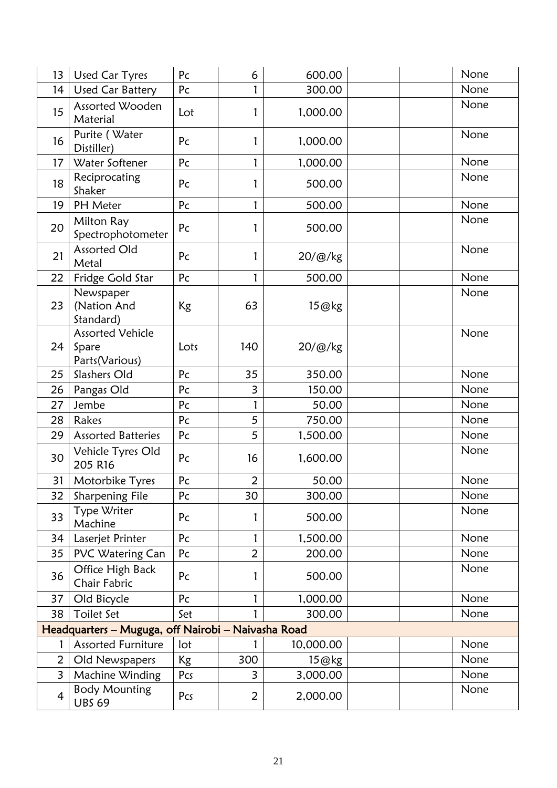| 13             | <b>Used Car Tyres</b>                               | Pc        | 6              | 600.00    | None |
|----------------|-----------------------------------------------------|-----------|----------------|-----------|------|
| 14             | <b>Used Car Battery</b>                             | Pc        |                | 300.00    | None |
| 15             | Assorted Wooden<br>Material                         | Lot       | 1              | 1,000.00  | None |
| 16             | Purite (Water<br>Distiller)                         | Pc        | 1              | 1,000.00  | None |
| 17             | Water Softener                                      | Pc        | 1              | 1,000.00  | None |
| 18             | Reciprocating<br>Shaker                             | Pc        | 1              | 500.00    | None |
| 19             | PH Meter                                            | Pc        | 1              | 500.00    | None |
| 20             | Milton Ray<br>Spectrophotometer                     | Pc        | 1              | 500.00    | None |
| 21             | <b>Assorted Old</b><br>Metal                        | Pc        | 1              | 20/@/kg   | None |
| 22             | Fridge Gold Star                                    | Pc        | 1              | 500.00    | None |
| 23             | Newspaper<br>(Nation And<br>Standard)               | Kg        | 63             | 15@kg     | None |
| 24             | <b>Assorted Vehicle</b><br>Spare<br>Parts (Various) | Lots      | 140            | 20/@/kg   | None |
| 25             | Slashers Old                                        | Pc        | 35             | 350.00    | None |
| 26             | Pangas Old                                          | Pc        | 3              | 150.00    | None |
| 27             | Jembe                                               | Pc        | 1              | 50.00     | None |
| 28             | Rakes                                               | Pc        | 5              | 750.00    | None |
| 29             | <b>Assorted Batteries</b>                           | Pc        | 5              | 1,500.00  | None |
| 30             | Vehicle Tyres Old<br>205 R16                        | Pc        | 16             | 1,600.00  | None |
| 31             | Motorbike Tyres                                     | Pc        | $\overline{2}$ | 50.00     | None |
| 32             | Sharpening File                                     | Pc        | 30             | 300.00    | None |
| 33             | Type Writer<br>Machine                              | Pc        |                | 500.00    | None |
| 34             | Laserjet Printer                                    | Pc        | 1              | 1,500.00  | None |
| 35             | PVC Watering Can                                    | Pc        | $\overline{2}$ | 200.00    | None |
| 36             | Office High Back<br>Chair Fabric                    | Pc        | 1              | 500.00    | None |
| 37             | Old Bicycle                                         | Pc        | 1              | 1,000.00  | None |
| 38             | Toilet Set                                          | Set       | 1              | 300.00    | None |
|                | Headquarters - Muguga, off Nairobi - Naivasha Road  |           |                |           |      |
|                | <b>Assorted Furniture</b>                           | lot       |                | 10,000.00 | None |
| $\overline{2}$ | Old Newspapers                                      | <b>Kg</b> | 300            | 15@kg     | None |
| $\overline{3}$ | Machine Winding                                     | Pcs       | 3              | 3,000.00  | None |
| 4              | <b>Body Mounting</b><br><b>UBS 69</b>               | Pcs       | 2              | 2,000.00  | None |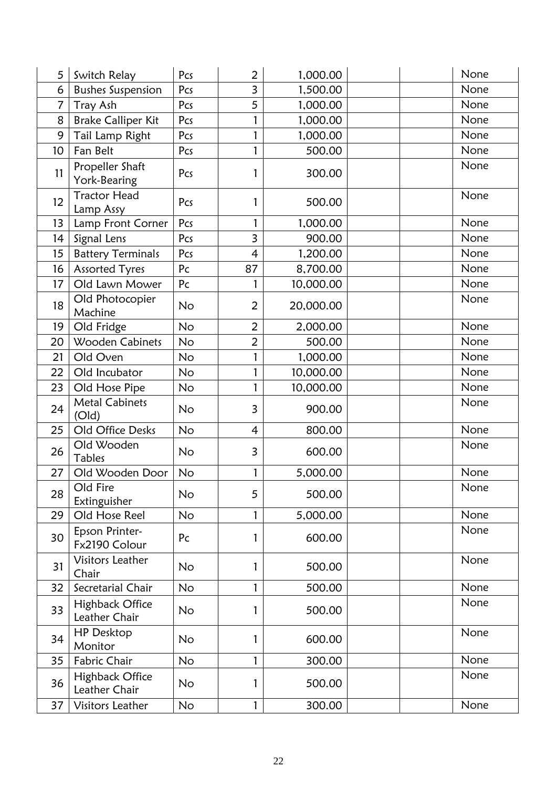| 5              | Switch Relay                     | Pcs       | $\overline{2}$          | 1,000.00  | None |
|----------------|----------------------------------|-----------|-------------------------|-----------|------|
| 6              | <b>Bushes Suspension</b>         | Pcs       | $\overline{3}$          | 1,500.00  | None |
| $\overline{7}$ | Tray Ash                         | Pcs       | 5                       | 1,000.00  | None |
| 8              | <b>Brake Calliper Kit</b>        | Pcs       | 1                       | 1,000.00  | None |
| 9              | Tail Lamp Right                  | Pcs       | 1                       | 1,000.00  | None |
| 10             | Fan Belt                         | Pcs       | 1                       | 500.00    | None |
| 11             | Propeller Shaft<br>York-Bearing  | Pcs       | 1                       | 300.00    | None |
| 12             | <b>Tractor Head</b><br>Lamp Assy | Pcs       | 1                       | 500.00    | None |
| 13             | Lamp Front Corner                | Pcs       | 1                       | 1,000.00  | None |
| 14             | Signal Lens                      | Pcs       | $\overline{3}$          | 900.00    | None |
| 15             | <b>Battery Terminals</b>         | Pcs       | 4                       | 1,200.00  | None |
| 16             | Assorted Tyres                   | Pc        | 87                      | 8,700.00  | None |
| 17             | Old Lawn Mower                   | Pc        | 1                       | 10,000.00 | None |
| 18             | Old Photocopier<br>Machine       | <b>No</b> | 2                       | 20,000.00 | None |
| 19             | Old Fridge                       | <b>No</b> | $\overline{2}$          | 2,000.00  | None |
| 20             | Wooden Cabinets                  | <b>No</b> | $\overline{2}$          | 500.00    | None |
| 21             | Old Oven                         | No        | 1                       | 1,000.00  | None |
| 22             | Old Incubator                    | <b>No</b> | 1                       | 10,000.00 | None |
| 23             | Old Hose Pipe                    | <b>No</b> | 1                       | 10,000.00 | None |
| 24             | <b>Metal Cabinets</b><br>(Old)   | No        | $\overline{\mathbf{3}}$ | 900.00    | None |
| 25             | Old Office Desks                 | <b>No</b> | $\overline{4}$          | 800.00    | None |
| 26             | Old Wooden<br>Tables             | <b>No</b> | 3                       | 600.00    | None |
| 27             | Old Wooden Door                  | No        | 1                       | 5,000.00  | None |
| 28             | Old Fire<br>Extinguisher         | No        | 5                       | 500.00    | None |
| 29             | Old Hose Reel                    | <b>No</b> | 1                       | 5,000.00  | None |
| 30             | Epson Printer-<br>Fx2190 Colour  | Pc        | 1                       | 600.00    | None |
| 31             | Visitors Leather<br>Chair        | <b>No</b> | 1                       | 500.00    | None |
| 32             | Secretarial Chair                | <b>No</b> | 1                       | 500.00    | None |
| 33             | Highback Office<br>Leather Chair | No.       | 1                       | 500.00    | None |
| 34             | <b>HP Desktop</b><br>Monitor     | <b>No</b> | 1                       | 600.00    | None |
| 35             | Fabric Chair                     | <b>No</b> | 1                       | 300.00    | None |
| 36             | Highback Office<br>Leather Chair | <b>No</b> | 1                       | 500.00    | None |
| 37             | Visitors Leather                 | No        | 1                       | 300.00    | None |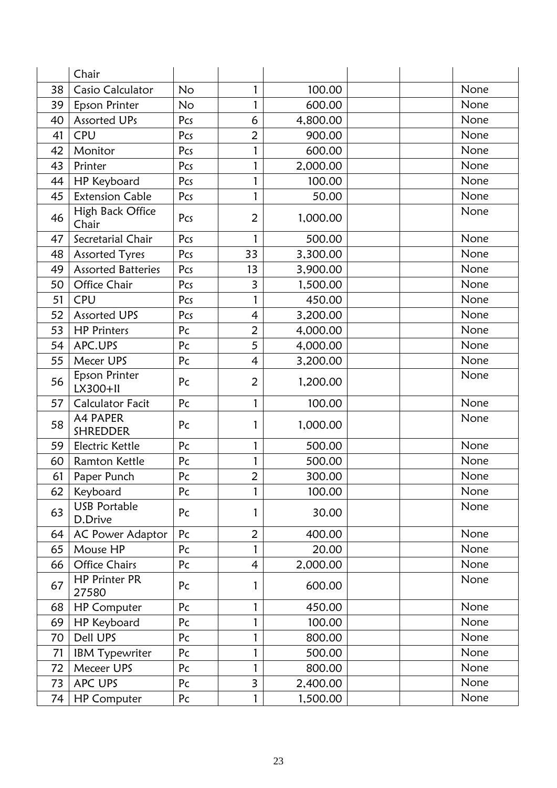|    | Chair                          |           |                |          |      |
|----|--------------------------------|-----------|----------------|----------|------|
| 38 | <b>Casio Calculator</b>        | <b>No</b> | 1              | 100.00   | None |
| 39 | Epson Printer                  | No        | 1              | 600.00   | None |
| 40 | Assorted UPs                   | Pcs       | 6              | 4,800.00 | None |
| 41 | CPU                            | Pcs       | $\overline{2}$ | 900.00   | None |
| 42 | Monitor                        | Pcs       | 1              | 600.00   | None |
| 43 | Printer                        | Pcs       | 1              | 2,000.00 | None |
| 44 | HP Keyboard                    | Pcs       | 1              | 100.00   | None |
| 45 | <b>Extension Cable</b>         | Pcs       | 1              | 50.00    | None |
| 46 | High Back Office<br>Chair      | Pcs       | $\overline{2}$ | 1,000.00 | None |
| 47 | Secretarial Chair              | Pcs       | 1              | 500.00   | None |
| 48 | <b>Assorted Tyres</b>          | Pcs       | 33             | 3,300.00 | None |
| 49 | <b>Assorted Batteries</b>      | Pcs       | 13             | 3,900.00 | None |
| 50 | Office Chair                   | Pcs       | 3              | 1,500.00 | None |
| 51 | CPU                            | Pcs       | 1              | 450.00   | None |
| 52 | <b>Assorted UPS</b>            | Pcs       | $\overline{4}$ | 3,200.00 | None |
| 53 | <b>HP Printers</b>             | Pc        | $\overline{2}$ | 4,000.00 | None |
| 54 | APC.UPS                        | Pc        | 5              | 4,000.00 | None |
| 55 | Mecer UPS                      | Pc        | $\overline{4}$ | 3,200.00 | None |
| 56 | Epson Printer<br>LX300+II      | Pc        | $\overline{2}$ | 1,200.00 | None |
| 57 | <b>Calculator Facit</b>        | Pc        | 1              | 100.00   | None |
| 58 | A4 PAPER<br><b>SHREDDER</b>    | Pc        | 1              | 1,000.00 | None |
| 59 | Electric Kettle                | Pc        | 1              | 500.00   | None |
| 60 | <b>Ramton Kettle</b>           | Pc        |                | 500.00   | None |
| 61 | Paper Punch                    | Pc        | $\overline{2}$ | 300.00   | None |
| 62 | Keyboard                       | Pc        |                | 100.00   | None |
| 63 | <b>USB Portable</b><br>D.Drive | Pc        | 1              | 30.00    | None |
| 64 | AC Power Adaptor               | Pc        | $\overline{2}$ | 400.00   | None |
| 65 | Mouse HP                       | Pc        |                | 20.00    | None |
| 66 | <b>Office Chairs</b>           | Pc        | 4              | 2,000.00 | None |
| 67 | <b>HP Printer PR</b><br>27580  | Pc        | 1              | 600.00   | None |
| 68 | <b>HP Computer</b>             | Pc        | 1              | 450.00   | None |
| 69 | HP Keyboard                    | Pc        |                | 100.00   | None |
| 70 | Dell UPS                       | Pc        | 1              | 800.00   | None |
| 71 | <b>IBM Typewriter</b>          | Pc        |                | 500.00   | None |
| 72 | Meceer UPS                     | Pc        |                | 800.00   | None |
| 73 | APC UPS                        | Pc        | 3              | 2,400.00 | None |
| 74 | <b>HP Computer</b>             | Pc        | 1              | 1,500.00 | None |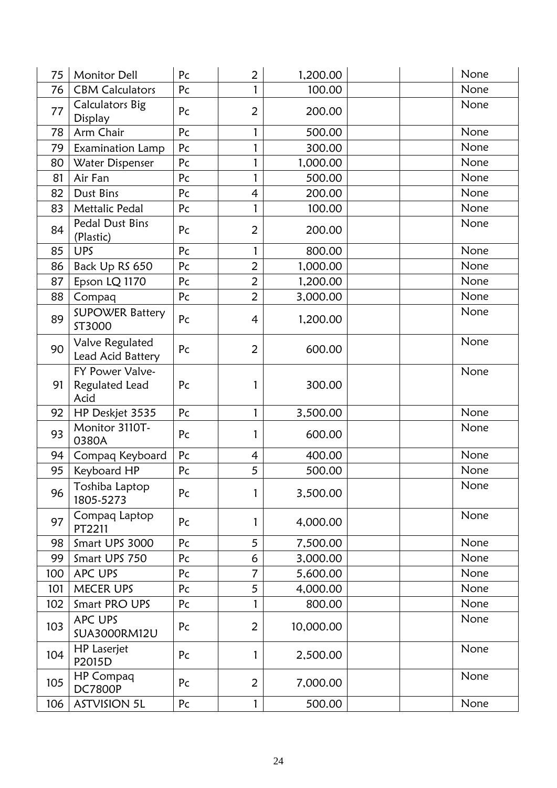| 75  | <b>Monitor Dell</b>                       | Pc | $\overline{2}$ | 1,200.00  | None |
|-----|-------------------------------------------|----|----------------|-----------|------|
| 76  | <b>CBM Calculators</b>                    | Pc | 1              | 100.00    | None |
| 77  | <b>Calculators Big</b><br>Display         | Pc | $\overline{2}$ | 200.00    | None |
| 78  | Arm Chair                                 | Pc | 1              | 500.00    | None |
| 79  | Examination Lamp                          | Pc | 1              | 300.00    | None |
| 80  | Water Dispenser                           | Pc | 1              | 1,000.00  | None |
| 81  | Air Fan                                   | Pc | 1              | 500.00    | None |
| 82  | Dust Bins                                 | Pc | 4              | 200.00    | None |
| 83  | <b>Mettalic Pedal</b>                     | Pc | 1              | 100.00    | None |
| 84  | Pedal Dust Bins<br>(Plastic)              | Pc | $\overline{2}$ | 200.00    | None |
| 85  | <b>UPS</b>                                | Pc | 1              | 800.00    | None |
| 86  | Back Up RS 650                            | Pc | $\overline{2}$ | 1,000.00  | None |
| 87  | Epson LQ 1170                             | Pc | $\overline{2}$ | 1,200.00  | None |
| 88  | Compaq                                    | Pc | $\overline{2}$ | 3,000.00  | None |
| 89  | <b>SUPOWER Battery</b><br>ST3000          | Pc | $\overline{4}$ | 1,200.00  | None |
| 90  | Valve Regulated<br>Lead Acid Battery      | Pc | $\overline{2}$ | 600.00    | None |
| 91  | FY Power Valve-<br>Regulated Lead<br>Acid | Pc | 1              | 300.00    | None |
| 92  | HP Deskjet 3535                           | Pc | 1              | 3,500.00  | None |
| 93  | Monitor 3110T-<br>0380A                   | Pc | 1              | 600.00    | None |
| 94  | Compaq Keyboard                           | Pc | 4              | 400.00    | None |
| 95  | Keyboard HP                               | Pc | 5              | 500.00    | None |
| 96  | Toshiba Laptop<br>1805-5273               | Pc | 1              | 3,500.00  | None |
| 97  | Compaq Laptop<br>PT2211                   | Pc | 1              | 4,000.00  | None |
| 98  | Smart UPS 3000                            | Pc | 5              | 7,500.00  | None |
| 99  | Smart UPS 750                             | Pc | 6              | 3,000.00  | None |
| 100 | APC UPS                                   | Pc | 7              | 5,600.00  | None |
| 101 | <b>MECER UPS</b>                          | Pc | 5              | 4,000.00  | None |
| 102 | Smart PRO UPS                             | Pc | 1              | 800.00    | None |
| 103 | APC UPS<br><b>SUA3000RM12U</b>            | Pc | $\overline{2}$ | 10,000.00 | None |
| 104 | <b>HP</b> Laserjet<br>P2015D              | Pc | 1              | 2,500.00  | None |
| 105 | <b>HP Compaq</b><br><b>DC7800P</b>        | Pc | $\overline{2}$ | 7,000.00  | None |
| 106 | <b>ASTVISION 5L</b>                       | Pc | 1              | 500.00    | None |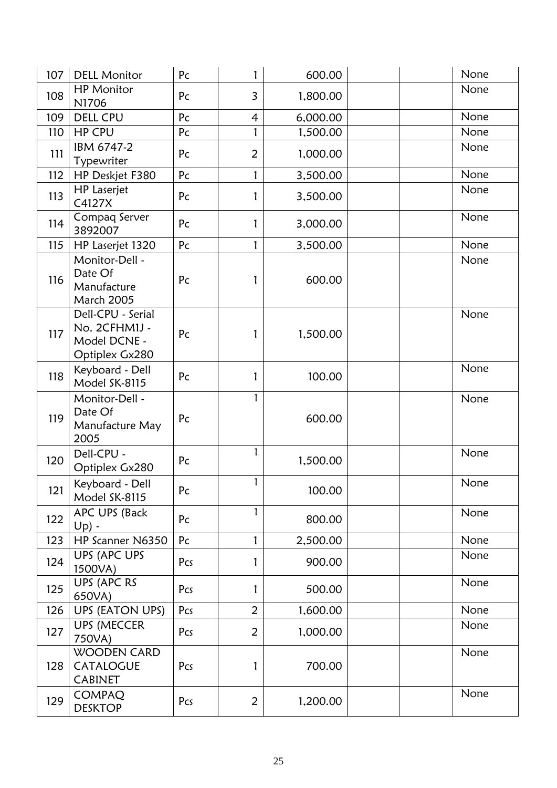| 107 | <b>DELL Monitor</b>                                                  | Pc             | 1              | 600.00   | None |
|-----|----------------------------------------------------------------------|----------------|----------------|----------|------|
| 108 | <b>HP Monitor</b><br>N1706                                           | Pc             | $\overline{3}$ | 1,800.00 | None |
| 109 | <b>DELL CPU</b>                                                      | Pc             | $\overline{4}$ | 6,000.00 | None |
| 110 | <b>HP CPU</b>                                                        | Pc             | 1              | 1,500.00 | None |
| 111 | IBM 6747-2<br>Typewriter                                             | Pc             | $\overline{2}$ | 1,000.00 | None |
| 112 | HP Deskjet F380                                                      | Pc             | 1              | 3,500.00 | None |
| 113 | <b>HP</b> Laserjet<br>C4127X                                         | Pc             | 1              | 3,500.00 | None |
| 114 | Compaq Server<br>3892007                                             | Pc             | 1              | 3,000.00 | None |
| 115 | HP Laserjet 1320                                                     | Pc             | $\mathbf{1}$   | 3,500.00 | None |
| 116 | Monitor-Dell -<br>Date Of<br>Manufacture<br><b>March 2005</b>        | Pc             | 1              | 600.00   | None |
| 117 | Dell-CPU - Serial<br>No. 2CFHM1J -<br>Model DCNE -<br>Optiplex Gx280 | Pc             | 1              | 1,500.00 | None |
| 118 | Keyboard - Dell<br>Model SK-8115                                     | Pc             | 1              | 100.00   | None |
| 119 | Monitor-Dell -<br>Date Of<br>Manufacture May<br>2005                 | Pc             | 1              | 600.00   | None |
| 120 | Dell-CPU -<br>Optiplex Gx280                                         | Pc             | $\mathbf{1}$   | 1,500.00 | None |
| 121 | Keyboard - Dell<br>Model SK-8115                                     | Pc             | $\mathbf{1}$   | 100.00   | None |
| 122 | APC UPS (Back<br>$Up$ ) -                                            | Pc             | 1              | 800.00   | None |
| 123 | HP Scanner N6350                                                     | P <sub>C</sub> | $\mathbf{1}$   | 2,500.00 | None |
| 124 | <b>UPS (APC UPS</b><br>1500VA)                                       | Pcs            |                | 900.00   | None |
| 125 | UPS (APC RS<br>650VA)                                                | Pcs            | 1              | 500.00   | None |
| 126 | <b>UPS (EATON UPS)</b>                                               | Pcs            | $\overline{2}$ | 1,600.00 | None |
| 127 | <b>UPS (MECCER</b><br>750VA)                                         | Pcs            | $\overline{2}$ | 1,000.00 | None |
| 128 | <b>WOODEN CARD</b><br>CATALOGUE<br><b>CABINET</b>                    | Pcs            | $\mathbf{1}$   | 700.00   | None |
| 129 | <b>COMPAQ</b><br><b>DESKTOP</b>                                      | Pcs            | $\overline{2}$ | 1,200.00 | None |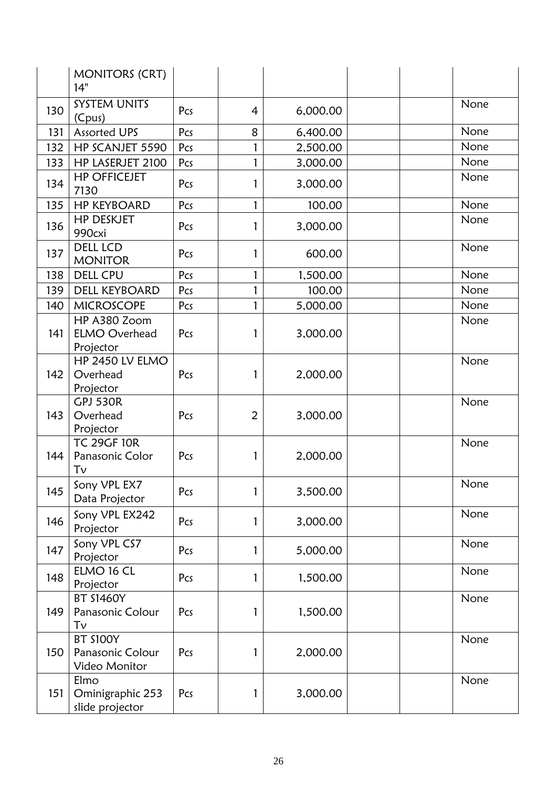|     | <b>MONITORS (CRT)</b><br>14"                         |     |                |          |      |
|-----|------------------------------------------------------|-----|----------------|----------|------|
| 130 | <b>SYSTEM UNITS</b><br>(Cpus)                        | Pcs | $\overline{4}$ | 6,000.00 | None |
| 131 | <b>Assorted UPS</b>                                  | Pcs | 8              | 6,400.00 | None |
| 132 | HP SCANJET 5590                                      | Pcs | 1              | 2,500.00 | None |
| 133 | HP LASERJET 2100                                     | Pcs | 1              | 3,000.00 | None |
| 134 | <b>HP OFFICEJET</b><br>7130                          | Pcs | 1              | 3,000.00 | None |
| 135 | <b>HP KEYBOARD</b>                                   | Pcs | 1              | 100.00   | None |
| 136 | <b>HP DESKJET</b><br>990cxi                          | Pcs | 1              | 3,000.00 | None |
| 137 | <b>DELL LCD</b><br><b>MONITOR</b>                    | Pcs | 1              | 600.00   | None |
| 138 | <b>DELL CPU</b>                                      | Pcs | 1              | 1,500.00 | None |
| 139 | <b>DELL KEYBOARD</b>                                 | Pcs | 1              | 100.00   | None |
| 140 | <b>MICROSCOPE</b>                                    | Pcs | 1              | 5,000.00 | None |
| 141 | HP A380 Zoom<br><b>ELMO Overhead</b><br>Projector    | Pcs | 1              | 3,000.00 | None |
| 142 | HP 2450 LV ELMO<br>Overhead<br>Projector             | Pcs | 1              | 2,000.00 | None |
| 143 | <b>GPJ 530R</b><br>Overhead<br>Projector             | Pcs | 2              | 3,000.00 | None |
| 144 | <b>TC 29GF 10R</b><br>Panasonic Color<br>Tν          | Pcs | 1              | 2,000.00 | None |
| 145 | Sony VPL EX7<br>Data Projector                       | Pcs | 1              | 3,500.00 | None |
| 146 | Sony VPL EX242<br>Projector                          | Pcs | 1              | 3,000.00 | None |
| 147 | Sony VPL CS7<br>Projector                            | Pcs | 1              | 5,000.00 | None |
| 148 | ELMO 16 CL<br>Projector                              | Pcs | 1              | 1,500.00 | None |
| 149 | <b>BT S1460Y</b><br>Panasonic Colour<br>Tν           | Pcs | 1              | 1,500.00 | None |
| 150 | <b>BT S100Y</b><br>Panasonic Colour<br>Video Monitor | Pcs | 1              | 2,000.00 | None |
| 151 | Elmo<br>Ominigraphic 253<br>slide projector          | Pcs | 1              | 3,000.00 | None |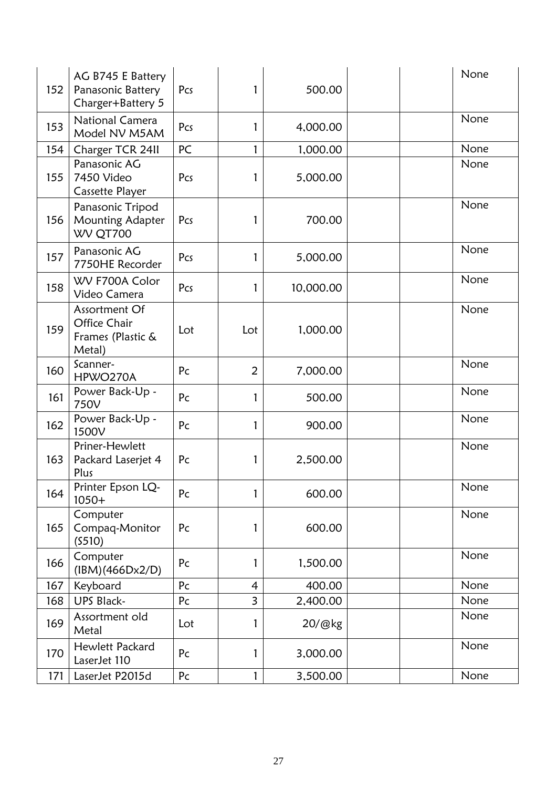| 152 | AG B745 E Battery<br>Panasonic Battery<br>Charger+Battery 5  | Pcs | 1              | 500.00    | None |
|-----|--------------------------------------------------------------|-----|----------------|-----------|------|
| 153 | <b>National Camera</b><br>Model NV M5AM                      | Pcs | 1              | 4,000.00  | None |
| 154 | Charger TCR 2411                                             | PC  | 1              | 1,000.00  | None |
| 155 | Panasonic AG<br>7450 Video<br><b>Cassette Player</b>         | Pcs | 1              | 5,000.00  | None |
| 156 | Panasonic Tripod<br>Mounting Adapter<br>WV QT700             | Pcs | 1              | 700.00    | None |
| 157 | Panasonic AG<br>7750HE Recorder                              | Pcs | 1              | 5,000.00  | None |
| 158 | WV F700A Color<br>Video Camera                               | Pcs | 1              | 10,000.00 | None |
| 159 | Assortment Of<br>Office Chair<br>Frames (Plastic &<br>Metal) | Lot | Lot            | 1,000.00  | None |
| 160 | Scanner-<br>HPWO270A                                         | Pc  | $\overline{2}$ | 7,000.00  | None |
| 161 | Power Back-Up -<br>750V                                      | Pc  | 1              | 500.00    | None |
| 162 | Power Back-Up -<br>1500V                                     | Pc  | 1              | 900.00    | None |
| 163 | Priner-Hewlett<br>Packard Laserjet 4<br>Plus                 | Pc  | 1              | 2,500.00  | None |
| 164 | Printer Epson LQ-<br>$1050+$                                 | Pc  |                | 600.00    | None |
| 165 | Computer<br>Compaq-Monitor<br>(5510)                         | Pc  | 1              | 600.00    | None |
| 166 | Computer<br>(IBM)(466Dx2/D)                                  | Pc  | 1              | 1,500.00  | None |
| 167 | Keyboard                                                     | Pc  | 4              | 400.00    | None |
| 168 | <b>UPS Black-</b>                                            | Pc  | $\overline{3}$ | 2,400.00  | None |
| 169 | Assortment old<br>Metal                                      | Lot | 1              | 20/@kg    | None |
| 170 | Hewlett Packard<br>LaserJet 110                              | Pc  | 1              | 3,000.00  | None |
| 171 | LaserJet P2015d                                              | Pc  | $\mathbf{1}$   | 3,500.00  | None |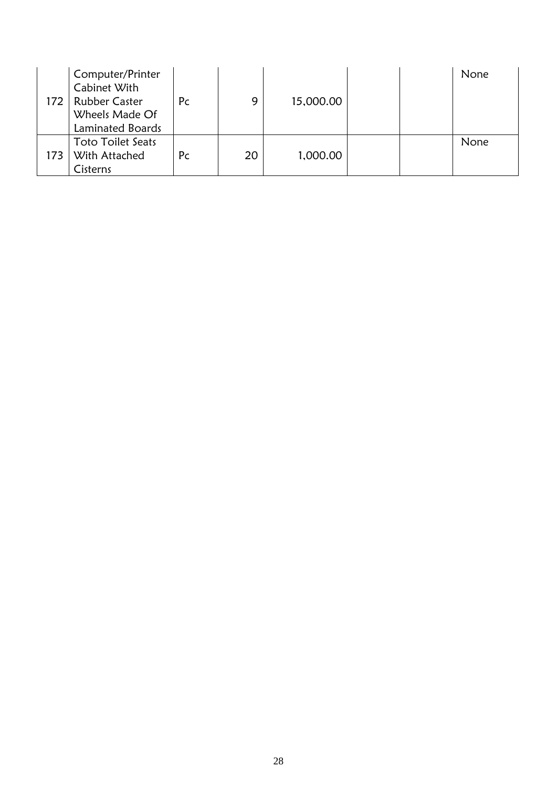<span id="page-31-0"></span>

| 172 | Computer/Printer<br>Cabinet With<br><b>Rubber Caster</b><br>Wheels Made Of<br>Laminated Boards | Pc | 9  | 15,000.00 |  | None |
|-----|------------------------------------------------------------------------------------------------|----|----|-----------|--|------|
| 173 | <b>Toto Toilet Seats</b><br>With Attached<br>Cisterns                                          | Pc | 20 | 1,000.00  |  | None |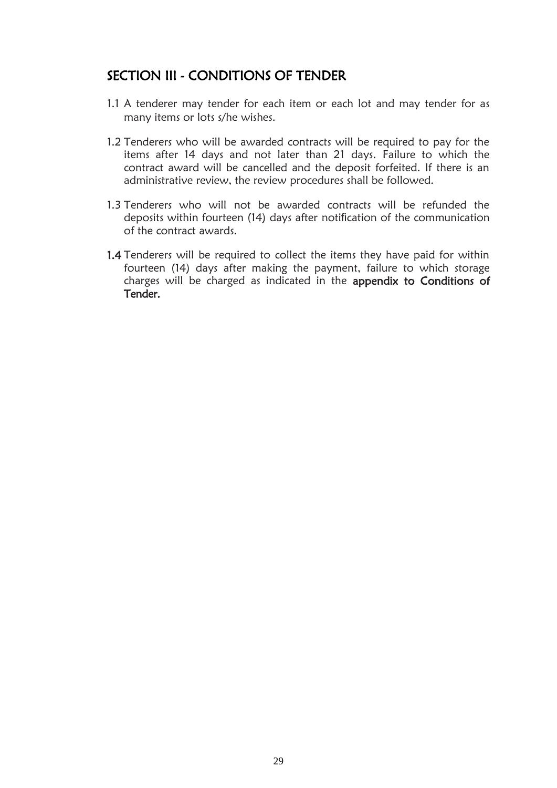# SECTION III - CONDITIONS OF TENDER

- 1.1 A tenderer may tender for each item or each lot and may tender for as many items or lots s/he wishes.
- 1.2 Tenderers who will be awarded contracts will be required to pay for the items after 14 days and not later than 21 days. Failure to which the contract award will be cancelled and the deposit forfeited. If there is an administrative review, the review procedures shall be followed.
- 1.3 Tenderers who will not be awarded contracts will be refunded the deposits within fourteen (14) days after notification of the communication of the contract awards.
- 1.4 Tenderers will be required to collect the items they have paid for within fourteen (14) days after making the payment, failure to which storage charges will be charged as indicated in the appendix to Conditions of Tender.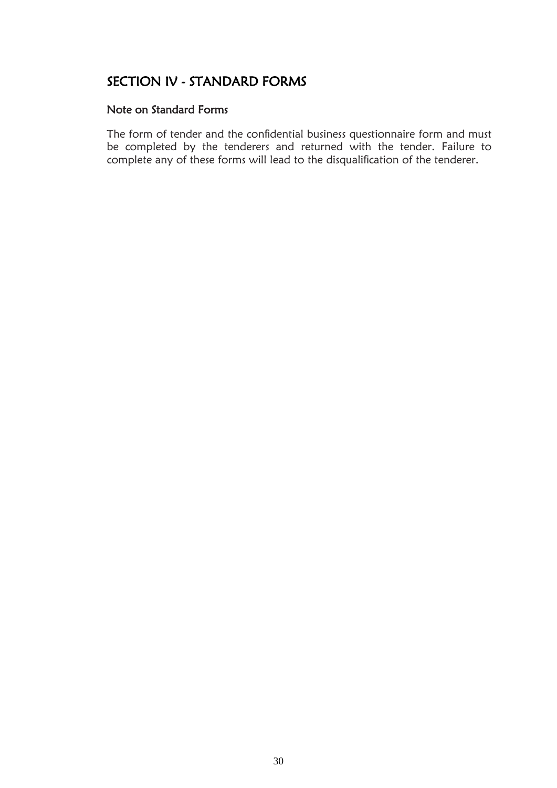# <span id="page-33-0"></span>SECTION IV - STANDARD FORMS

#### Note on Standard Forms

The form of tender and the confidential business questionnaire form and must be completed by the tenderers and returned with the tender. Failure to complete any of these forms will lead to the disqualification of the tenderer.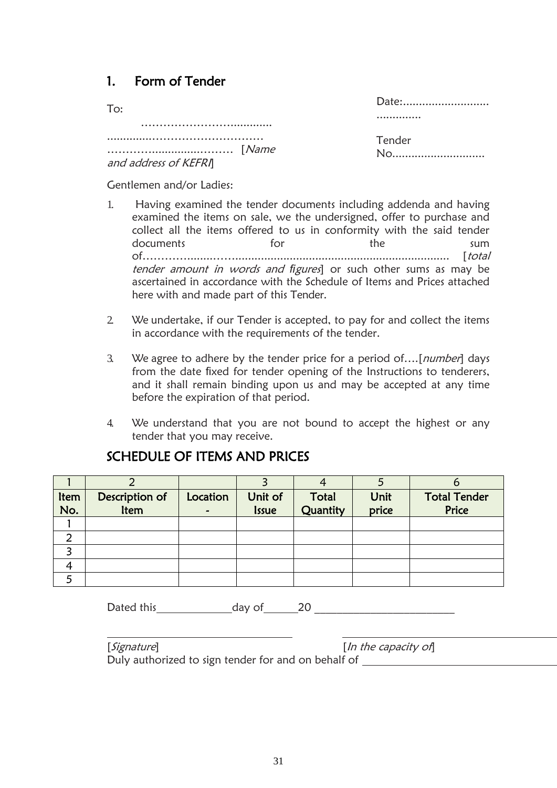# <span id="page-34-0"></span>1. Form of Tender

| To:                  |  |
|----------------------|--|
|                      |  |
|                      |  |
| and address of KEFRI |  |

| Date: |  |
|-------|--|
| .     |  |

Tender No............................

Gentlemen and/or Ladies:

- 1. Having examined the tender documents including addenda and having examined the items on sale, we the undersigned, offer to purchase and collect all the items offered to us in conformity with the said tender documents for the sum of…………........……................................................................... [total tender amount in words and *fi*gures] or such other sums as may be ascertained in accordance with the Schedule of Items and Prices attached here with and made part of this Tender.
- 2. We undertake, if our Tender is accepted, to pay for and collect the items in accordance with the requirements of the tender.
- 3. We agree to adhere by the tender price for a period of....[number] days from the date fixed for tender opening of the Instructions to tenderers, and it shall remain binding upon us and may be accepted at any time before the expiration of that period.
- 4. We understand that you are not bound to accept the highest or any tender that you may receive.

<span id="page-34-1"></span>

|      |                |          |              |          |       | о                   |
|------|----------------|----------|--------------|----------|-------|---------------------|
| ltem | Description of | Location | Unit of      | Total    | Unit  | <b>Total Tender</b> |
| No.  | Item           |          | <b>Issue</b> | Quantity | price | Price               |
|      |                |          |              |          |       |                     |
|      |                |          |              |          |       |                     |
|      |                |          |              |          |       |                     |
|      |                |          |              |          |       |                     |
|      |                |          |              |          |       |                     |

## SCHEDULE OF ITEMS AND PRICES

Dated this day of 20 \_\_\_\_\_\_\_\_\_\_\_\_\_\_\_\_\_\_\_\_\_\_\_\_\_

| [ <i>Signature</i> ]                                | [ln the capacity of] |
|-----------------------------------------------------|----------------------|
| Duly authorized to sign tender for and on behalf of |                      |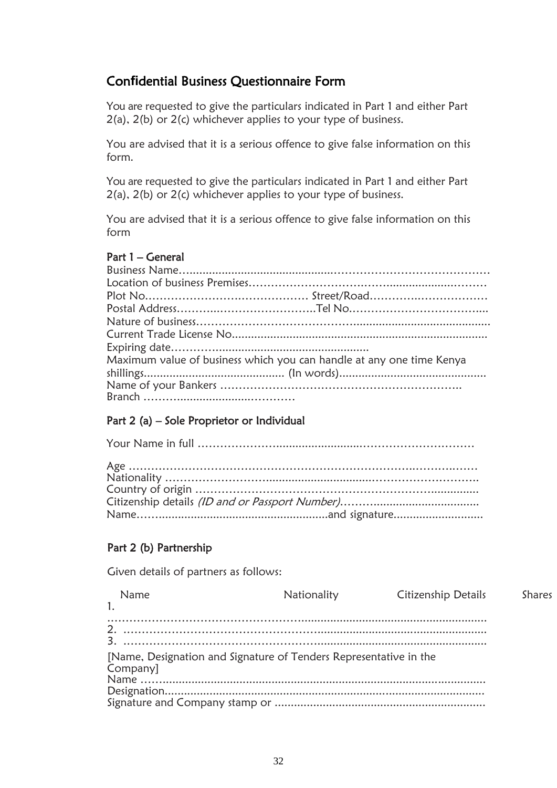# Con**fi**dential Business Questionnaire Form

You are requested to give the particulars indicated in Part 1 and either Part 2(a), 2(b) or 2(c) whichever applies to your type of business.

You are advised that it is a serious offence to give false information on this form.

You are requested to give the particulars indicated in Part 1 and either Part 2(a), 2(b) or 2(c) whichever applies to your type of business.

You are advised that it is a serious offence to give false information on this form

#### Part 1 – General

| Maximum value of business which you can handle at any one time Kenya |
|----------------------------------------------------------------------|
|                                                                      |
|                                                                      |

### Part 2 (a) – Sole Proprietor or Individual

### Part 2 (b) Partnership

Given details of partners as follows:

| Name                                                                          | Nationality | <b>Citizenship Details</b> | Shares |
|-------------------------------------------------------------------------------|-------------|----------------------------|--------|
|                                                                               |             |                            |        |
| [Name, Designation and Signature of Tenders Representative in the<br>Company] |             |                            |        |
|                                                                               |             |                            |        |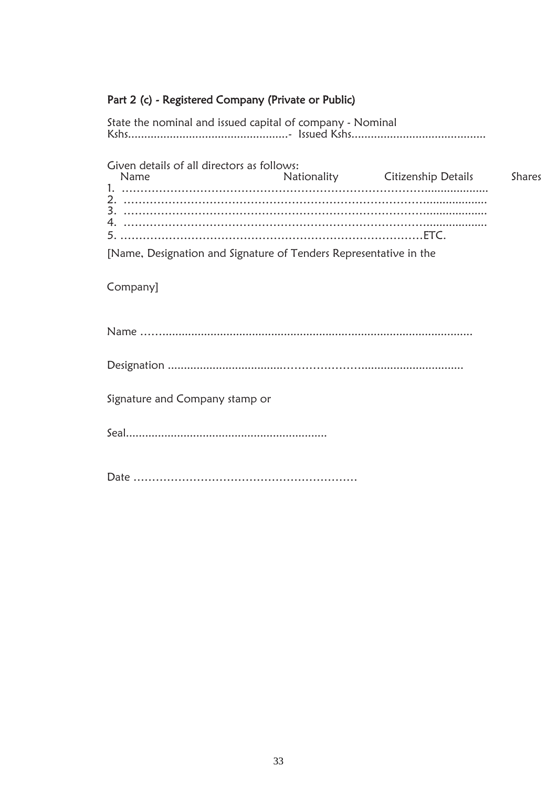# Part 2 (c) - Registered Company (Private or Public)

| State the nominal and issued capital of company - Nominal         |                                 |        |
|-------------------------------------------------------------------|---------------------------------|--------|
| Given details of all directors as follows:<br>Name                | Nationality Citizenship Details | Shares |
| [Name, Designation and Signature of Tenders Representative in the |                                 |        |
| Company]                                                          |                                 |        |
|                                                                   |                                 |        |
|                                                                   |                                 |        |
| Signature and Company stamp or                                    |                                 |        |
|                                                                   |                                 |        |
|                                                                   |                                 |        |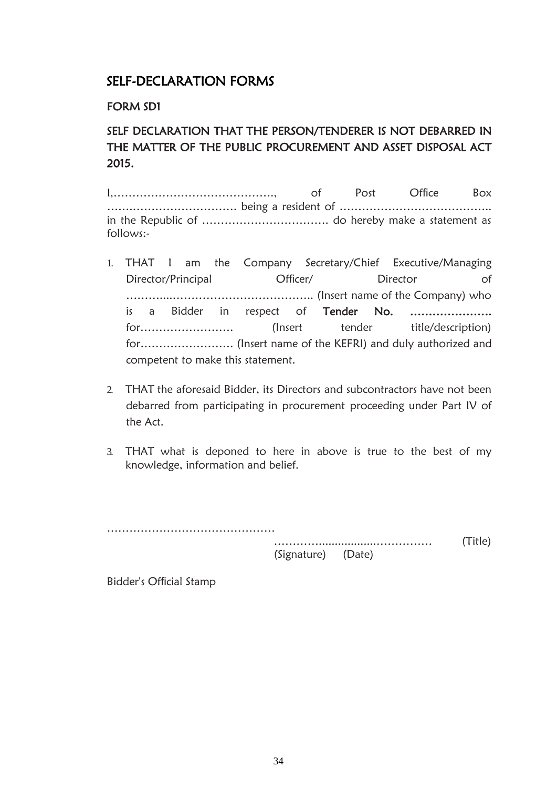# SELF-DECLARATION FORMS

### FORM SD1

# SELF DECLARATION THAT THE PERSON/TENDERER IS NOT DEBARRED IN THE MATTER OF THE PUBLIC PROCUREMENT AND ASSET DISPOSAL ACT 2015.

I,……………………………………., of Post Office Box …….………………………. being a resident of ………………………………….. in the Republic of ……………………………. do hereby make a statement as follows:-

- 1. THAT I am the Company Secretary/Chief Executive/Managing Director/Principal Officer/ Director of ………....……………………………….. (Insert name of the Company) who is a Bidder in respect of Tender No. ..................... for……………………. (Insert tender title/description) for……………………. (Insert name of the KEFRI) and duly authorized and competent to make this statement.
- 2. THAT the aforesaid Bidder, its Directors and subcontractors have not been debarred from participating in procurement proceeding under Part IV of the Act.
- 3. THAT what is deponed to here in above is true to the best of my knowledge, information and belief.

………………………………………

…………..................…………… (Title) (Signature) (Date)

Bidder's Official Stamp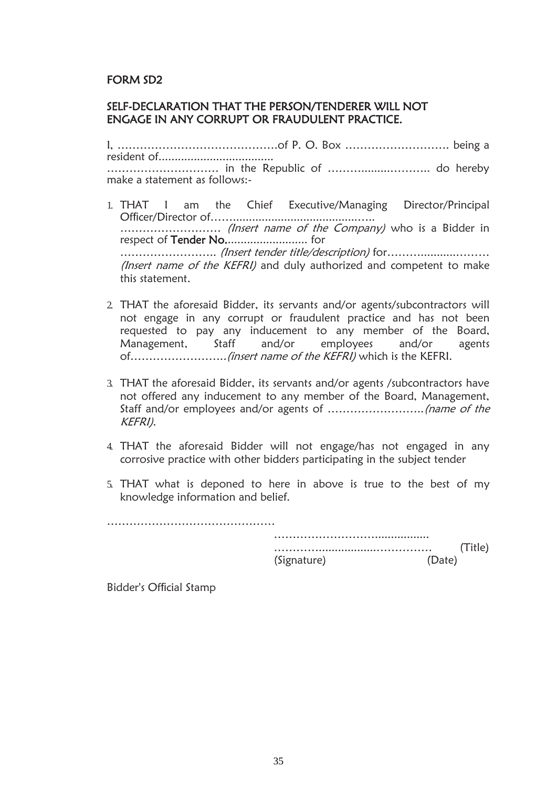### FORM SD2

#### SELF-DECLARATION THAT THE PERSON/TENDERER WILL NOT ENGAGE IN ANY CORRUPT OR FRAUDULENT PRACTICE.

I, …………………………………….of P. O. Box ………………………. being a resident of.................................... ………………………… in the Republic of ……….........……….. do hereby make a statement as follows:-

- 1. THAT I am the Chief Executive/Managing Director/Principal Officer/Director of…….......................................….. .............................. (Insert name of the Company) who is a Bidder in respect of Tender No.......................... for …………………….. (Insert tender title/description) for………...........……… (Insert name of the KEFRI) and duly authorized and competent to make this statement.
- 2. THAT the aforesaid Bidder, its servants and/or agents/subcontractors will not engage in any corrupt or fraudulent practice and has not been requested to pay any inducement to any member of the Board, Management, Staff and/or employees and/or agents of……………………..(insert name of the KEFRI) which is the KEFRI.
- 3. THAT the aforesaid Bidder, its servants and/or agents /subcontractors have not offered any inducement to any member of the Board, Management, Staff and/or employees and/or agents of ……………………..(name of the KEFRI).
- 4. THAT the aforesaid Bidder will not engage/has not engaged in any corrosive practice with other bidders participating in the subject tender
- 5. THAT what is deponed to here in above is true to the best of my knowledge information and belief.

……………………………………… ………………………................. …………..................…………… (Title) (Signature) (Date)

Bidder's Official Stamp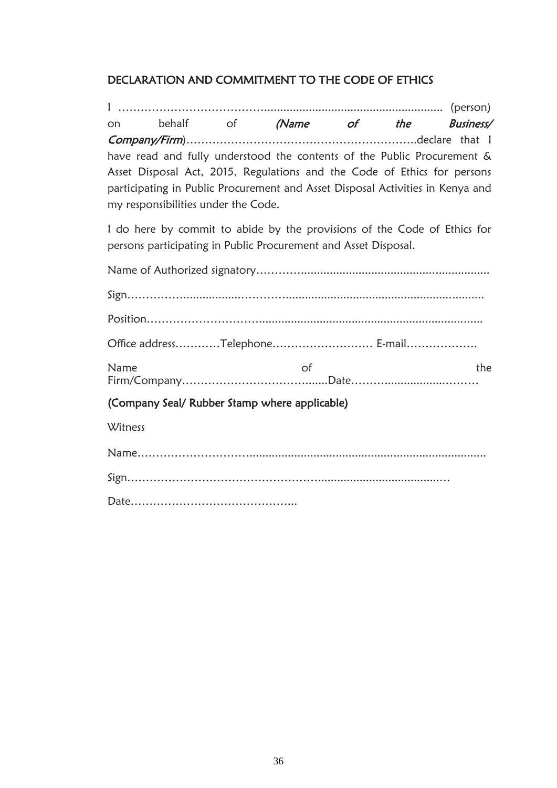# DECLARATION AND COMMITMENT TO THE CODE OF ETHICS

I …………………………………........................................................ (person) on behalf of (Name of the Business/ Company/Firm)……………………………………………………..declare that I have read and fully understood the contents of the Public Procurement & Asset Disposal Act, 2015, Regulations and the Code of Ethics for persons participating in Public Procurement and Asset Disposal Activities in Kenya and my responsibilities under the Code.

I do here by commit to abide by the provisions of the Code of Ethics for persons participating in Public Procurement and Asset Disposal.

| Office addressTelephone E-mail                |    |     |
|-----------------------------------------------|----|-----|
| Name                                          | 0f | the |
| (Company Seal/ Rubber Stamp where applicable) |    |     |
| Witness                                       |    |     |
|                                               |    |     |
|                                               |    |     |
|                                               |    |     |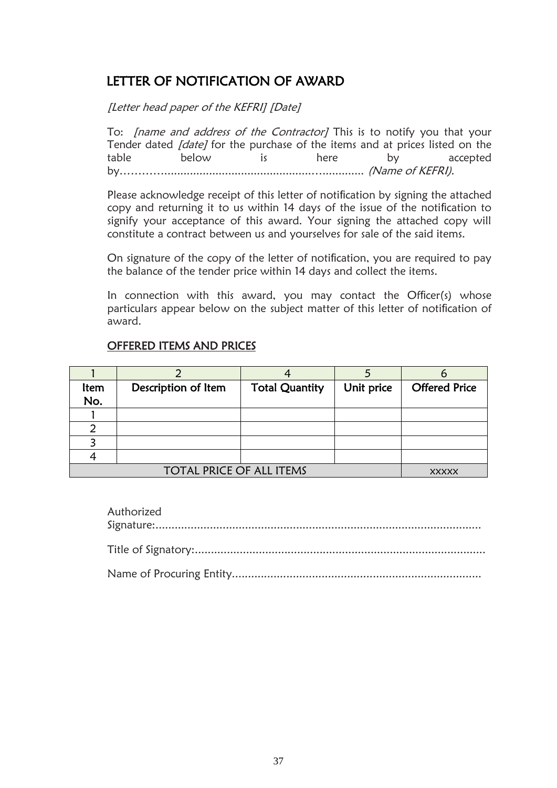# LETTER OF NOTIFICATION OF AWARD

[Letter head paper of the KEFRI] [Date]

To: *[name and address of the Contractor]* This is to notify you that your Tender dated *[date]* for the purchase of the items and at prices listed on the table below is here by accepted by…………..............................................…............. (Name of KEFRI).

Please acknowledge receipt of this letter of notification by signing the attached copy and returning it to us within 14 days of the issue of the notification to signify your acceptance of this award. Your signing the attached copy will constitute a contract between us and yourselves for sale of the said items.

On signature of the copy of the letter of notification, you are required to pay the balance of the tender price within 14 days and collect the items.

In connection with this award, you may contact the Officer(s) whose particulars appear below on the subject matter of this letter of notification of award.

### OFFERED ITEMS AND PRICES

| ltem | Description of Item             | <b>Total Quantity</b> | Unit price | <b>Offered Price</b> |
|------|---------------------------------|-----------------------|------------|----------------------|
| No.  |                                 |                       |            |                      |
|      |                                 |                       |            |                      |
| ົ    |                                 |                       |            |                      |
|      |                                 |                       |            |                      |
|      |                                 |                       |            |                      |
|      | <b>TOTAL PRICE OF ALL ITEMS</b> |                       |            | <b>XXXXX</b>         |

| Authorized |
|------------|
|            |
|            |
|            |
|            |
|            |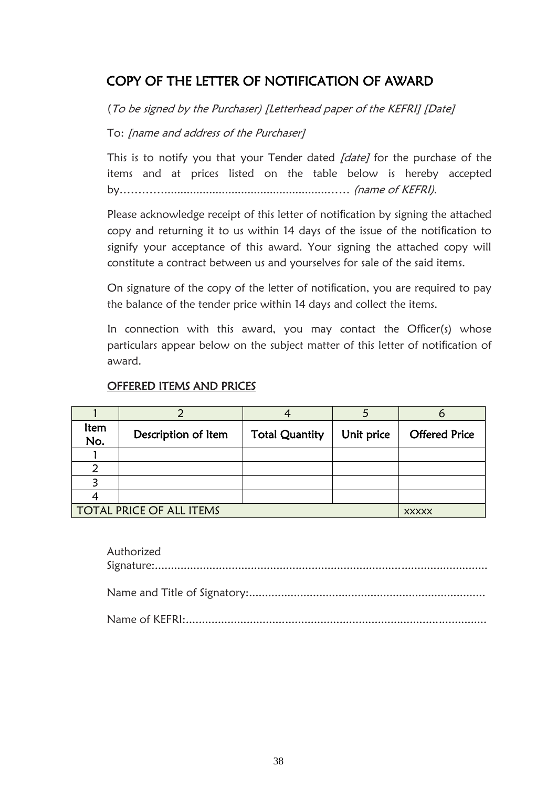# COPY OF THE LETTER OF NOTIFICATION OF AWARD

(To be signed by the Purchaser) [Letterhead paper of the KEFRI] [Date]

To: [name and address of the Purchaser]

This is to notify you that your Tender dated [date] for the purchase of the items and at prices listed on the table below is hereby accepted by…………...................................................…… (name of KEFRI).

Please acknowledge receipt of this letter of notification by signing the attached copy and returning it to us within 14 days of the issue of the notification to signify your acceptance of this award. Your signing the attached copy will constitute a contract between us and yourselves for sale of the said items.

On signature of the copy of the letter of notification, you are required to pay the balance of the tender price within 14 days and collect the items.

In connection with this award, you may contact the Officer(s) whose particulars appear below on the subject matter of this letter of notification of award.

| ltem<br>No. | Description of Item             | <b>Total Quantity</b> | Unit price | <b>Offered Price</b> |
|-------------|---------------------------------|-----------------------|------------|----------------------|
|             |                                 |                       |            |                      |
| າ           |                                 |                       |            |                      |
|             |                                 |                       |            |                      |
|             |                                 |                       |            |                      |
|             | <b>TOTAL PRICE OF ALL ITEMS</b> |                       |            | <b>XXXXX</b>         |

## OFFERED ITEMS AND PRICES

| Authorized |
|------------|
|            |
|            |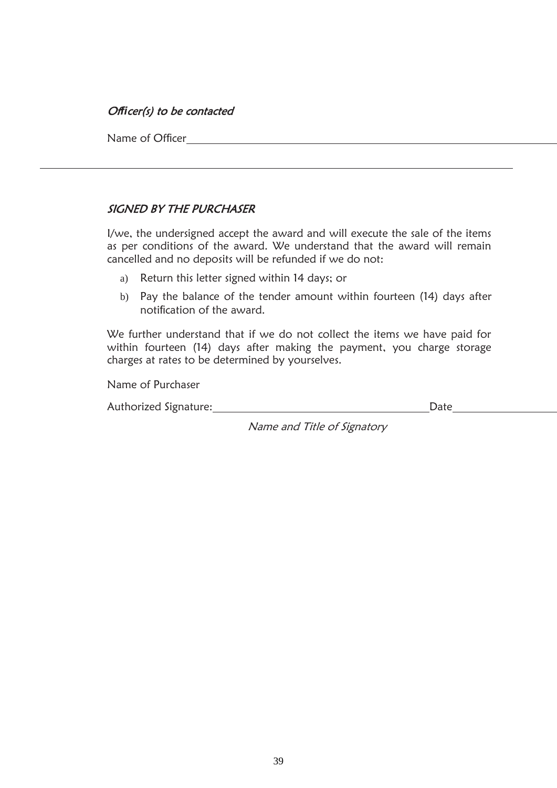### Of*fi*cer(s) to be contacted

Name of Officer **Postal Address Telephone Number email Address Physical Address Physical Address Physical Address (City, Street, Building, Floor number) and room number and room number and room number and room number and r** 

### SIGNED BY THE PURCHASER

I/we, the undersigned accept the award and will execute the sale of the items as per conditions of the award. We understand that the award will remain cancelled and no deposits will be refunded if we do not:

- a) Return this letter signed within 14 days; or
- b) Pay the balance of the tender amount within fourteen (14) days after notification of the award.

We further understand that if we do not collect the items we have paid for within fourteen (14) days after making the payment, you charge storage charges at rates to be determined by yourselves.

Name of Purchaser

Authorized Signature: National Authorized Signature: National Authorized Signature: National Authorized Signature

Name and Title of Signatory